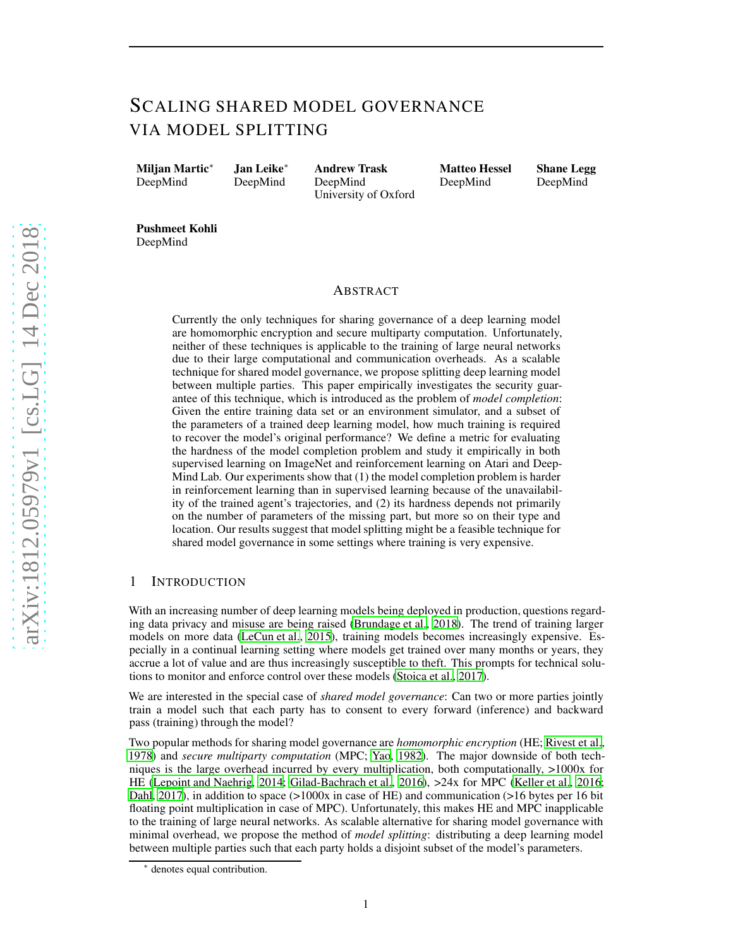# SCALING SHARED MODEL GOVERNANCE VIA MODEL SPLITTING

Miljan Martic<sup>∗</sup> DeepMind

Jan Leike<sup>∗</sup> DeepMind

Andrew Trask DeepMind University of Oxford Matteo Hessel DeepMind

Shane Legg DeepMind

Pushmeet Kohli DeepMind

## ABSTRACT

Currently the only techniques for sharing governance of a deep learning model are homomorphic encryption and secure multiparty computation. Unfortunately, neither of these techniques is applicable to the training of large neural networks due to their large computational and communication overheads. As a scalable technique for shared model governance, we propose splitting deep learning model between multiple parties. This paper empirically investigates the security guarantee of this technique, which is introduced as the problem of *model completion*: Given the entire training data set or an environment simulator, and a subset of the parameters of a trained deep learning model, how much training is required to recover the model's original performance? We define a metric for evaluating the hardness of the model completion problem and study it empirically in both supervised learning on ImageNet and reinforcement learning on Atari and Deep-Mind Lab. Our experiments show that (1) the model completion problem is harder in reinforcement learning than in supervised learning because of the unavailability of the trained agent's trajectories, and (2) its hardness depends not primarily on the number of parameters of the missing part, but more so on their type and location. Our results suggest that model splitting might be a feasible technique for shared model governance in some settings where training is very expensive.

# 1 INTRODUCTION

With an increasing number of deep learning models being deployed in production, questions regarding data privacy and misuse are being raised [\(Brundage et al.](#page-9-0), [2018\)](#page-9-0). The trend of training larger models on more data [\(LeCun et al., 2015\)](#page-10-0), training models becomes increasingly expensive. Especially in a continual learning setting where models get trained over many months or years, they accrue a lot of value and are thus increasingly susceptible to theft. This prompts for technical solutions to monitor and enforce control over these models [\(Stoica et al.](#page-11-0), [2017](#page-11-0)).

We are interested in the special case of *shared model governance*: Can two or more parties jointly train a model such that each party has to consent to every forward (inference) and backward pass (training) through the model?

Two popular methods for sharing model governance are *homomorphic encryption* (HE; [Rivest et al.,](#page-11-1) [1978](#page-11-1)) and *secure multiparty computation* (MPC; [Yao, 1982\)](#page-11-2). The major downside of both techniques is the large overhead incurred by every multiplication, both computationally,  $>1000x$  for HE [\(Lepoint and Naehrig, 2014;](#page-10-1) [Gilad-Bachrach et al.](#page-9-1), [2016\)](#page-9-1), >24x for MPC [\(Keller et al.](#page-10-2), [2016](#page-10-2); [Dahl](#page-9-2), [2017\)](#page-9-2), in addition to space  $(>1000x$  in case of HE) and communication  $(>16$  bytes per 16 bit floating point multiplication in case of MPC). Unfortunately, this makes HE and MPC inapplicable to the training of large neural networks. As scalable alternative for sharing model governance with minimal overhead, we propose the method of *model splitting*: distributing a deep learning model between multiple parties such that each party holds a disjoint subset of the model's parameters.

<sup>∗</sup> denotes equal contribution.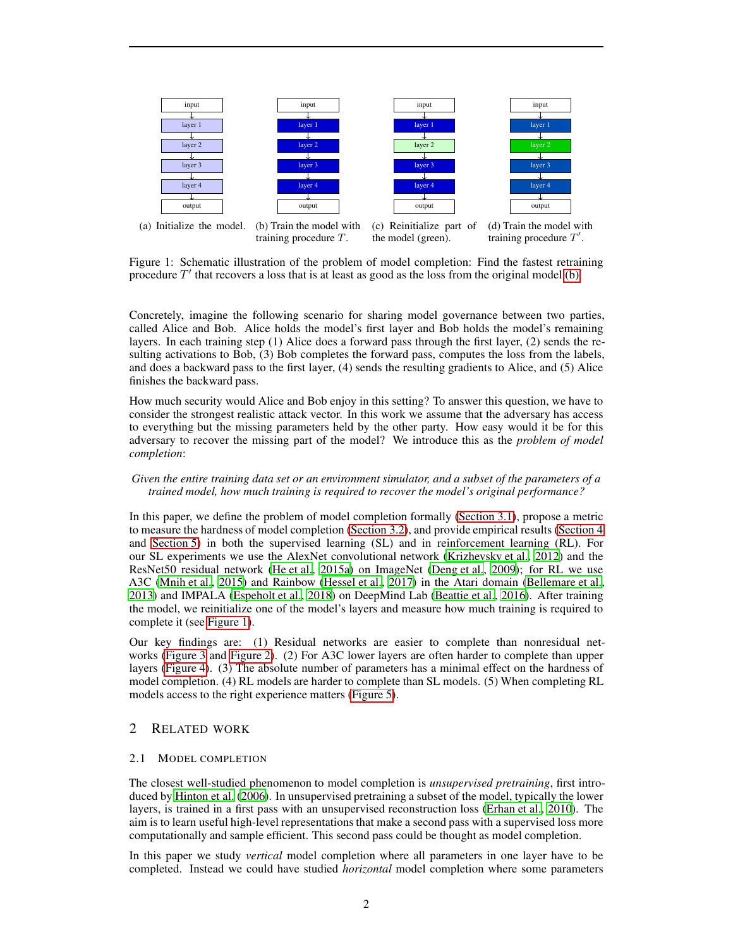<span id="page-1-0"></span>

(a) Initialize the model. (b) Train the model with training procedure T. (c) Reinitialize part of the model (green). (d) Train the model with training procedure  $T'$ .

Figure 1: Schematic illustration of the problem of model completion: Find the fastest retraining procedure  $T'$  that recovers a loss that is at least as good as the loss from the original model [\(b\).](#page-1-0)

Concretely, imagine the following scenario for sharing model governance between two parties, called Alice and Bob. Alice holds the model's first layer and Bob holds the model's remaining layers. In each training step (1) Alice does a forward pass through the first layer, (2) sends the resulting activations to Bob, (3) Bob completes the forward pass, computes the loss from the labels, and does a backward pass to the first layer, (4) sends the resulting gradients to Alice, and (5) Alice finishes the backward pass.

How much security would Alice and Bob enjoy in this setting? To answer this question, we have to consider the strongest realistic attack vector. In this work we assume that the adversary has access to everything but the missing parameters held by the other party. How easy would it be for this adversary to recover the missing part of the model? We introduce this as the *problem of model completion*:

### *Given the entire training data set or an environment simulator, and a subset of the parameters of a trained model, how much training is required to recover the model's original performance?*

In this paper, we define the problem of model completion formally [\(Section 3.1\)](#page-3-0), propose a metric to measure the hardness of model completion [\(Section 3.2\)](#page-3-1), and provide empirical results [\(Section 4](#page-4-0) and [Section 5\)](#page-5-0) in both the supervised learning (SL) and in reinforcement learning (RL). For our SL experiments we use the AlexNet convolutional network [\(Krizhevsky et al.](#page-10-3), [2012](#page-10-3)) and the ResNet50 residual network [\(He et al., 2015a](#page-10-4)) on ImageNet [\(Deng et al.](#page-9-3), [2009\)](#page-9-3); for RL we use A3C [\(Mnih et al., 2015\)](#page-10-5) and Rainbow [\(Hessel et al., 2017\)](#page-10-6) in the Atari domain [\(Bellemare et al.,](#page-9-4) [2013\)](#page-9-4) and IMPALA [\(Espeholt et al., 2018](#page-9-5)) on DeepMind Lab [\(Beattie et al., 2016\)](#page-9-6). After training the model, we reinitialize one of the model's layers and measure how much training is required to complete it (see [Figure 1\)](#page-1-0).

Our key findings are: (1) Residual networks are easier to complete than nonresidual networks [\(Figure 3](#page-6-0) and [Figure 2\)](#page-5-1). (2) For A3C lower layers are often harder to complete than upper layers [\(Figure 4\)](#page-6-1). (3) The absolute number of parameters has a minimal effect on the hardness of model completion. (4) RL models are harder to complete than SL models. (5) When completing RL models access to the right experience matters [\(Figure 5\)](#page-6-2).

# 2 RELATED WORK

### 2.1 MODEL COMPLETION

The closest well-studied phenomenon to model completion is *unsupervised pretraining*, first introduced by [Hinton et al. \(2006\)](#page-10-7). In unsupervised pretraining a subset of the model, typically the lower layers, is trained in a first pass with an unsupervised reconstruction loss [\(Erhan et al.](#page-9-7), [2010\)](#page-9-7). The aim is to learn useful high-level representations that make a second pass with a supervised loss more computationally and sample efficient. This second pass could be thought as model completion.

In this paper we study *vertical* model completion where all parameters in one layer have to be completed. Instead we could have studied *horizontal* model completion where some parameters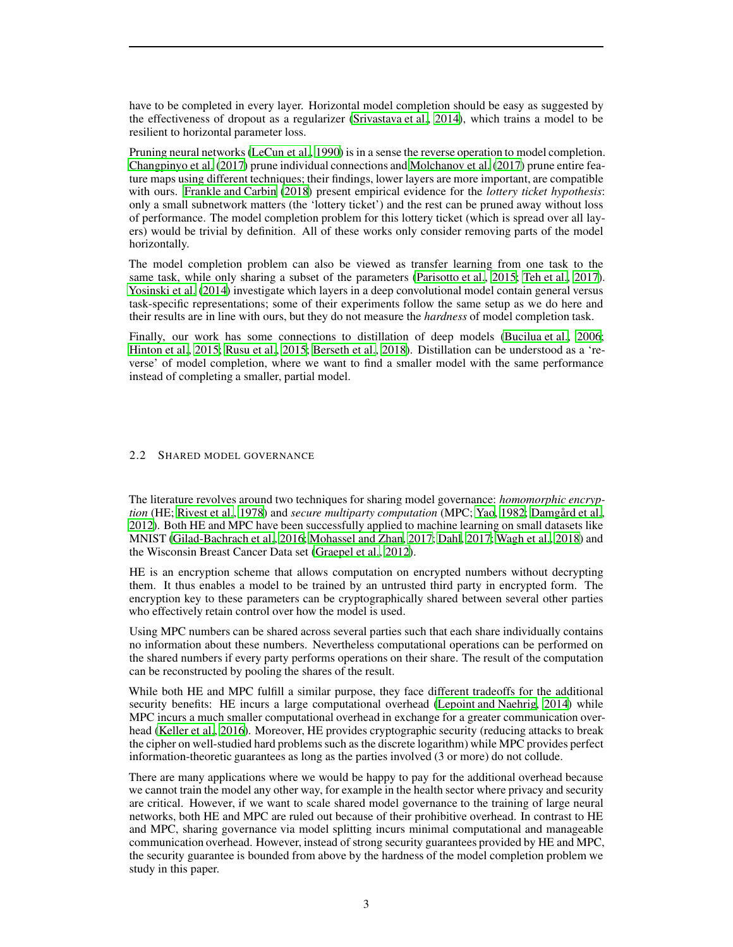have to be completed in every layer. Horizontal model completion should be easy as suggested by the effectiveness of dropout as a regularizer [\(Srivastava et al.](#page-11-3), [2014\)](#page-11-3), which trains a model to be resilient to horizontal parameter loss.

Pruning neural networks [\(LeCun et al.](#page-10-8), [1990\)](#page-10-8) is in a sense the reverse operation to model completion. [Changpinyo et al. \(2017\)](#page-9-8) prune individual connections and [Molchanov et al. \(2017](#page-11-4)) prune entire feature maps using different techniques; their findings, lower layers are more important, are compatible with ours. [Frankle and Carbin](#page-9-9) [\(2018\)](#page-9-9) present empirical evidence for the *lottery ticket hypothesis*: only a small subnetwork matters (the 'lottery ticket') and the rest can be pruned away without loss of performance. The model completion problem for this lottery ticket (which is spread over all layers) would be trivial by definition. All of these works only consider removing parts of the model horizontally.

The model completion problem can also be viewed as transfer learning from one task to the same task, while only sharing a subset of the parameters [\(Parisotto et al.](#page-11-5), [2015](#page-11-5); [Teh et al., 2017\)](#page-11-6). [Yosinski et al. \(2014\)](#page-11-7) investigate which layers in a deep convolutional model contain general versus task-specific representations; some of their experiments follow the same setup as we do here and their results are in line with ours, but they do not measure the *hardness* of model completion task.

Finally, our work has some connections to distillation of deep models [\(Bucilua et al.](#page-9-10), [2006](#page-9-10); [Hinton et al., 2015;](#page-10-9) [Rusu et al., 2015;](#page-11-8) [Berseth et al., 2018](#page-9-11)). Distillation can be understood as a 'reverse' of model completion, where we want to find a smaller model with the same performance instead of completing a smaller, partial model.

#### 2.2 SHARED MODEL GOVERNANCE

The literature revolves around two techniques for sharing model governance: *homomorphic encryption* (HE; [Rivest et al.](#page-11-1), [1978](#page-11-1)) and *secure multiparty computation* (MPC; [Yao, 1982;](#page-11-2) [Damgård et al.,](#page-9-12) [2012\)](#page-9-12). Both HE and MPC have been successfully applied to machine learning on small datasets like MNIST [\(Gilad-Bachrach et al.](#page-9-1), [2016;](#page-9-1) [Mohassel and Zhan, 2017](#page-10-10); [Dahl, 2017](#page-9-2); [Wagh et al., 2018](#page-11-9)) and the Wisconsin Breast Cancer Data set [\(Graepel et al.](#page-10-11), [2012\)](#page-10-11).

HE is an encryption scheme that allows computation on encrypted numbers without decrypting them. It thus enables a model to be trained by an untrusted third party in encrypted form. The encryption key to these parameters can be cryptographically shared between several other parties who effectively retain control over how the model is used.

Using MPC numbers can be shared across several parties such that each share individually contains no information about these numbers. Nevertheless computational operations can be performed on the shared numbers if every party performs operations on their share. The result of the computation can be reconstructed by pooling the shares of the result.

While both HE and MPC fulfill a similar purpose, they face different tradeoffs for the additional security benefits: HE incurs a large computational overhead [\(Lepoint and Naehrig](#page-10-1), [2014\)](#page-10-1) while MPC incurs a much smaller computational overhead in exchange for a greater communication overhead [\(Keller et al.](#page-10-2), [2016](#page-10-2)). Moreover, HE provides cryptographic security (reducing attacks to break the cipher on well-studied hard problems such as the discrete logarithm) while MPC provides perfect information-theoretic guarantees as long as the parties involved (3 or more) do not collude.

There are many applications where we would be happy to pay for the additional overhead because we cannot train the model any other way, for example in the health sector where privacy and security are critical. However, if we want to scale shared model governance to the training of large neural networks, both HE and MPC are ruled out because of their prohibitive overhead. In contrast to HE and MPC, sharing governance via model splitting incurs minimal computational and manageable communication overhead. However, instead of strong security guarantees provided by HE and MPC, the security guarantee is bounded from above by the hardness of the model completion problem we study in this paper.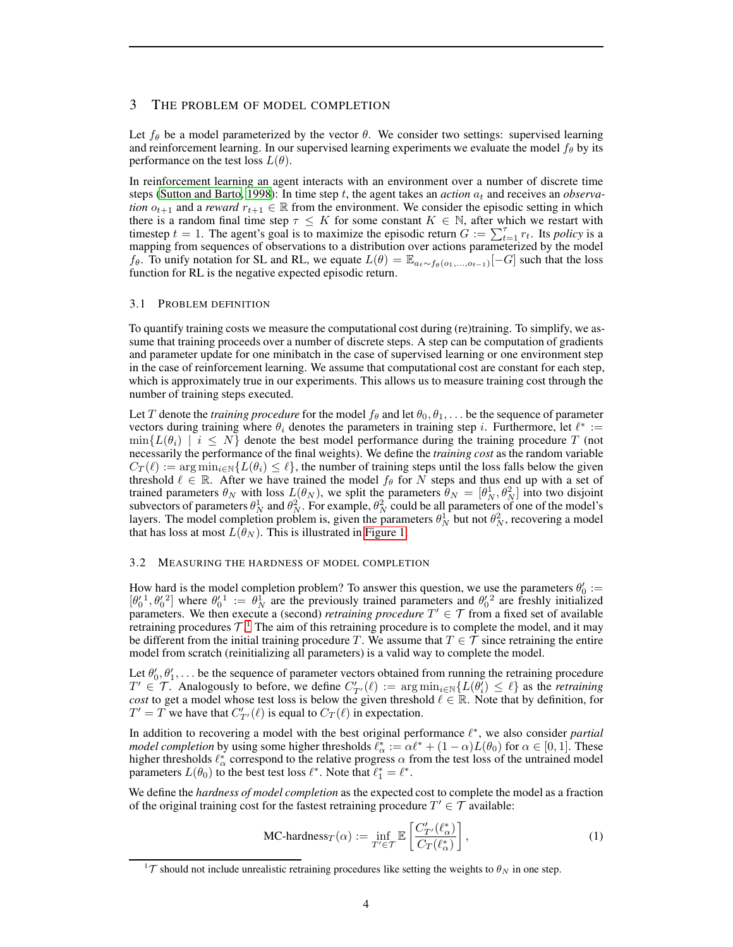## 3 THE PROBLEM OF MODEL COMPLETION

Let  $f_\theta$  be a model parameterized by the vector  $\theta$ . We consider two settings: supervised learning and reinforcement learning. In our supervised learning experiments we evaluate the model  $f_{\theta}$  by its performance on the test loss  $L(\theta)$ .

In reinforcement learning an agent interacts with an environment over a number of discrete time steps [\(Sutton and Barto](#page-11-10), [1998\)](#page-11-10): In time step t, the agent takes an *action*  $a_t$  and receives an *observation*  $o_{t+1}$  and a *reward*  $r_{t+1} \in \mathbb{R}$  from the environment. We consider the episodic setting in which there is a random final time step  $\tau \leq K$  for some constant  $K \in \mathbb{N}$ , after which we restart with timestep  $t = 1$ . The agent's goal is to maximize the episodic return  $G := \sum_{t=1}^{T} r_t$ . Its *policy* is a mapping from sequences of observations to a distribution over actions parameterized by the model  $f_{\theta}$ . To unify notation for SL and RL, we equate  $L(\theta) = \mathbb{E}_{a_t \sim f_{\theta}(o_1,...,o_{t-1})}[-G]$  such that the loss function for RL is the negative expected episodic return.

#### <span id="page-3-0"></span>3.1 PROBLEM DEFINITION

To quantify training costs we measure the computational cost during (re)training. To simplify, we assume that training proceeds over a number of discrete steps. A step can be computation of gradients and parameter update for one minibatch in the case of supervised learning or one environment step in the case of reinforcement learning. We assume that computational cost are constant for each step, which is approximately true in our experiments. This allows us to measure training cost through the number of training steps executed.

Let T denote the *training procedure* for the model  $f_\theta$  and let  $\theta_0, \theta_1, \ldots$  be the sequence of parameter vectors during training where  $\theta_i$  denotes the parameters in training step *i*. Furthermore, let  $\ell^* :=$  $\min\{L(\theta_i) \mid i \leq N\}$  denote the best model performance during the training procedure T (not necessarily the performance of the final weights). We define the *training cost* as the random variable  $C_T(\ell) := \arg \min_{i \in \mathbb{N}} \{L(\theta_i) \leq \ell\}$ , the number of training steps until the loss falls below the given threshold  $\ell \in \mathbb{R}$ . After we have trained the model  $f_{\theta}$  for N steps and thus end up with a set of trained parameters  $\theta_N$  with loss  $L(\theta_N)$ , we split the parameters  $\theta_N = [\theta_N^1, \theta_N^2]$  into two disjoint subvectors of parameters  $\theta_N^1$  and  $\theta_N^2$ . For example,  $\theta_N^2$  could be all parameters of one of the model's layers. The model completion problem is, given the parameters  $\theta_N^1$  but not  $\theta_N^2$ , recovering a model that has loss at most  $L(\theta_N)$ . This is illustrated in [Figure 1.](#page-1-0)

#### <span id="page-3-1"></span>3.2 MEASURING THE HARDNESS OF MODEL COMPLETION

How hard is the model completion problem? To answer this question, we use the parameters  $\theta'_0$  :=  $[\theta_0^{\prime 1}, \theta_0^{\prime 2}]$  where  $\theta_0^{\prime 1} := \theta_N^1$  are the previously trained parameters and  $\theta_0^{\prime 2}$  are freshly initialized parameters. We then execute a (second) *retraining procedure*  $T' \in \mathcal{T}$  from a fixed set of available retraining procedures  $\mathcal{T}^{1}$  $\mathcal{T}^{1}$  $\mathcal{T}^{1}$ . The aim of this retraining procedure is to complete the model, and it may be different from the initial training procedure T. We assume that  $T \in \mathcal{T}$  since retraining the entire model from scratch (reinitializing all parameters) is a valid way to complete the model.

Let  $\theta'_0, \theta'_1, \ldots$  be the sequence of parameter vectors obtained from running the retraining procedure  $T' \in \mathcal{T}$ . Analogously to before, we define  $C'_{T'}(\ell) := \arg \min_{i \in \mathbb{N}} \{ L(\theta_i') \leq \ell \}$  as the *retraining cost* to get a model whose test loss is below the given threshold  $\ell \in \mathbb{R}$ . Note that by definition, for  $T' = T$  we have that  $C'_{T'}(\ell)$  is equal to  $C_T(\ell)$  in expectation.

In addition to recovering a model with the best original performance  $\ell^*$ , we also consider *partial model completion* by using some higher thresholds  $\ell_{\alpha}^* := \alpha \ell^* + (1 - \alpha)L(\theta_0)$  for  $\alpha \in [0, 1]$ . These higher thresholds  $\ell_{\alpha}^{*}$  correspond to the relative progress  $\alpha$  from the test loss of the untrained model parameters  $L(\theta_0)$  to the best test loss  $\ell^*$ . Note that  $\ell_1^* = \ell^*$ .

We define the *hardness of model completion* as the expected cost to complete the model as a fraction of the original training cost for the fastest retraining procedure  $T' \in \mathcal{T}$  available:

<span id="page-3-3"></span>
$$
\text{MC-hardness}_{T}(\alpha) := \inf_{T' \in \mathcal{T}} \mathbb{E}\left[\frac{C'_{T'}(\ell^*_{\alpha})}{C_{T}(\ell^*_{\alpha})}\right],\tag{1}
$$

<span id="page-3-2"></span><sup>&</sup>lt;sup>1</sup>T should not include unrealistic retraining procedures like setting the weights to  $\theta_N$  in one step.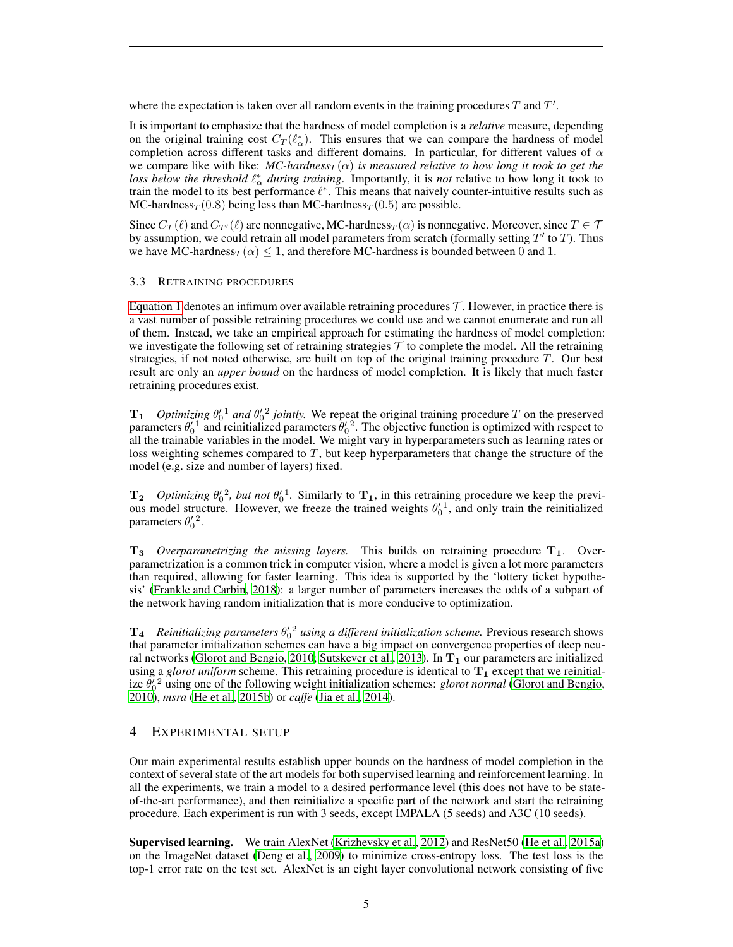where the expectation is taken over all random events in the training procedures  $T$  and  $T'$ .

It is important to emphasize that the hardness of model completion is a *relative* measure, depending on the original training cost  $C_T(\ell_{\alpha}^*)$ . This ensures that we can compare the hardness of model completion across different tasks and different domains. In particular, for different values of  $\alpha$ we compare like with like:  $MC$ -hardness<sub>T</sub>( $\alpha$ ) is measured relative to how long it took to get the *loss below the threshold*  $\ell^*_{\alpha}$  *during training.* Importantly, it is *not* relative to how long it took to train the model to its best performance  $\ell^*$ . This means that naively counter-intuitive results such as MC-hardness $T(0.8)$  being less than MC-hardness $T(0.5)$  are possible.

Since  $C_T(\ell)$  and  $C_{T'}(\ell)$  are nonnegative, MC-hardness $_T(\alpha)$  is nonnegative. Moreover, since  $T \in \mathcal{T}$ by assumption, we could retrain all model parameters from scratch (formally setting  $T'$  to  $T$ ). Thus we have MC-hardness $T(\alpha) \leq 1$ , and therefore MC-hardness is bounded between 0 and 1.

#### <span id="page-4-1"></span>3.3 RETRAINING PROCEDURES

[Equation 1](#page-3-3) denotes an infimum over available retraining procedures  $\mathcal T$ . However, in practice there is a vast number of possible retraining procedures we could use and we cannot enumerate and run all of them. Instead, we take an empirical approach for estimating the hardness of model completion: we investigate the following set of retraining strategies  $\mathcal T$  to complete the model. All the retraining strategies, if not noted otherwise, are built on top of the original training procedure  $T$ . Our best result are only an *upper bound* on the hardness of model completion. It is likely that much faster retraining procedures exist.

 $T_1$  *Optimizing*  $\theta_0^1$  *and*  $\theta_0^2$  *jointly.* We repeat the original training procedure T on the preserved parameters  $\theta_0^1$  and reinitialized parameters  $\theta_0^1$ <sup>2</sup>. The objective function is optimized with respect to all the trainable variables in the model. We might vary in hyperparameters such as learning rates or loss weighting schemes compared to  $T$ , but keep hyperparameters that change the structure of the model (e.g. size and number of layers) fixed.

 $T_2$  *Optimizing*  $\theta'_0$ <sup>2</sup>, but not  $\theta'_0$ <sup>1</sup>. Similarly to  $T_1$ , in this retraining procedure we keep the previous model structure. However, we freeze the trained weights  $\theta_0^{\prime\,1}$ , and only train the reinitialized parameters  $\theta_0^2$ .

 $T_3$  *Overparametrizing the missing layers.* This builds on retraining procedure  $T_1$ . Overparametrization is a common trick in computer vision, where a model is given a lot more parameters than required, allowing for faster learning. This idea is supported by the 'lottery ticket hypothesis' [\(Frankle and Carbin](#page-9-9), [2018\)](#page-9-9): a larger number of parameters increases the odds of a subpart of the network having random initialization that is more conducive to optimization.

 $T_4$  Reinitializing parameters  $\theta_0^2$  using a different initialization scheme. Previous research shows that parameter initialization schemes can have a big impact on convergence properties of deep neu-ral networks [\(Glorot and Bengio](#page-9-13), [2010](#page-9-13); [Sutskever et al., 2013\)](#page-11-11). In  $T_1$  our parameters are initialized using a *glorot uniform* scheme. This retraining procedure is identical to  $T_1$  except that we reinitialize  $\theta_0^2$ <sup>2</sup> using one of the following weight initialization schemes: *glorot normal* [\(Glorot and Bengio,](#page-9-13) [2010\)](#page-9-13), *msra* [\(He et al.](#page-10-12), [2015b](#page-10-12)) or *caffe* [\(Jia et al., 2014\)](#page-10-13).

# <span id="page-4-0"></span>4 EXPERIMENTAL SETUP

Our main experimental results establish upper bounds on the hardness of model completion in the context of several state of the art models for both supervised learning and reinforcement learning. In all the experiments, we train a model to a desired performance level (this does not have to be stateof-the-art performance), and then reinitialize a specific part of the network and start the retraining procedure. Each experiment is run with 3 seeds, except IMPALA (5 seeds) and A3C (10 seeds).

Supervised learning. We train AlexNet [\(Krizhevsky et al.](#page-10-3), [2012\)](#page-10-3) and ResNet50 [\(He et al.](#page-10-4), [2015a\)](#page-10-4) on the ImageNet dataset [\(Deng et al.](#page-9-3), [2009\)](#page-9-3) to minimize cross-entropy loss. The test loss is the top-1 error rate on the test set. AlexNet is an eight layer convolutional network consisting of five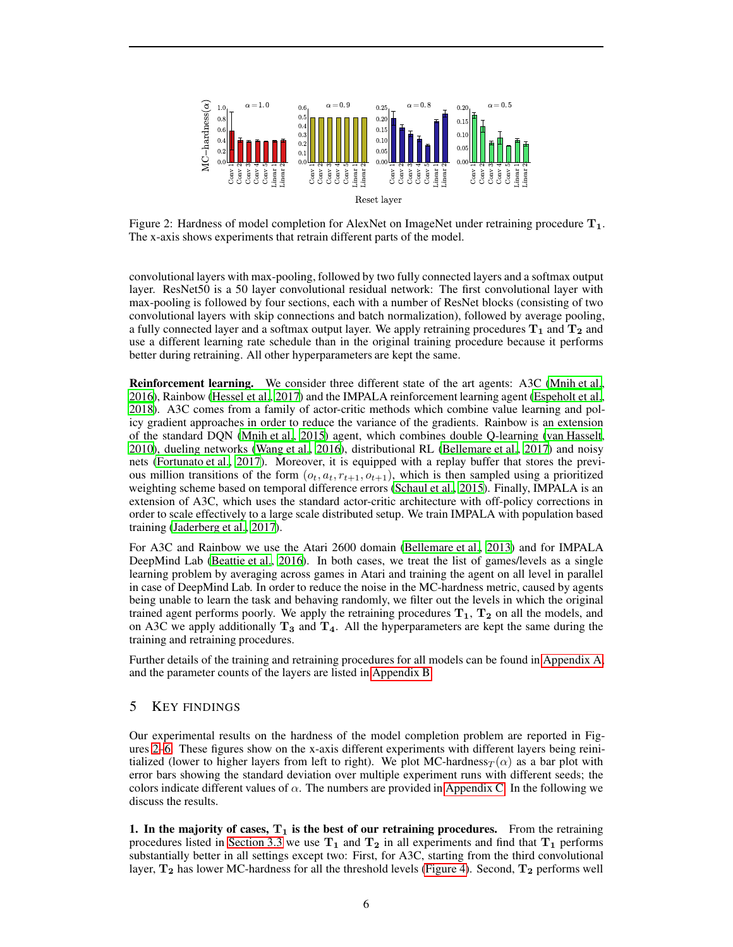<span id="page-5-1"></span>

Figure 2: Hardness of model completion for AlexNet on ImageNet under retraining procedure  $T_1$ . The x-axis shows experiments that retrain different parts of the model.

convolutional layers with max-pooling, followed by two fully connected layers and a softmax output layer. ResNet50 is a 50 layer convolutional residual network: The first convolutional layer with max-pooling is followed by four sections, each with a number of ResNet blocks (consisting of two convolutional layers with skip connections and batch normalization), followed by average pooling, a fully connected layer and a softmax output layer. We apply retraining procedures  $T_1$  and  $T_2$  and use a different learning rate schedule than in the original training procedure because it performs better during retraining. All other hyperparameters are kept the same.

Reinforcement learning. We consider three different state of the art agents: A3C [\(Mnih et al.,](#page-10-14) [2016\)](#page-10-14), Rainbow [\(Hessel et al., 2017](#page-10-6)) and the IMPALA reinforcement learning agent [\(Espeholt et al.,](#page-9-5) [2018\)](#page-9-5). A3C comes from a family of actor-critic methods which combine value learning and policy gradient approaches in order to reduce the variance of the gradients. Rainbow is an extension of the standard DQN [\(Mnih et al.](#page-10-5), [2015](#page-10-5)) agent, which combines double Q-learning [\(van Hasselt,](#page-11-12) [2010\)](#page-11-12), dueling networks [\(Wang et al., 2016\)](#page-11-13), distributional RL [\(Bellemare et al.](#page-9-14), [2017\)](#page-9-14) and noisy nets [\(Fortunato et al., 2017\)](#page-9-15). Moreover, it is equipped with a replay buffer that stores the previous million transitions of the form  $(o_t, a_t, r_{t+1}, o_{t+1})$ , which is then sampled using a prioritized weighting scheme based on temporal difference errors [\(Schaul et al., 2015\)](#page-11-14). Finally, IMPALA is an extension of A3C, which uses the standard actor-critic architecture with off-policy corrections in order to scale effectively to a large scale distributed setup. We train IMPALA with population based training [\(Jaderberg et al.](#page-10-15), [2017](#page-10-15)).

For A3C and Rainbow we use the Atari 2600 domain [\(Bellemare et](#page-9-4) al., [2013\)](#page-9-4) and for IMPALA DeepMind Lab [\(Beattie et al., 2016\)](#page-9-6). In both cases, we treat the list of games/levels as a single learning problem by averaging across games in Atari and training the agent on all level in parallel in case of DeepMind Lab. In order to reduce the noise in the MC-hardness metric, caused by agents being unable to learn the task and behaving randomly, we filter out the levels in which the original trained agent performs poorly. We apply the retraining procedures  $T_1$ ,  $T_2$  on all the models, and on A3C we apply additionally  $T_3$  and  $T_4$ . All the hyperparameters are kept the same during the training and retraining procedures.

Further details of the training and retraining procedures for all models can be found in [Appendix A,](#page-12-0) and the parameter counts of the layers are listed in [Appendix](#page-13-0) B.

# <span id="page-5-0"></span>5 KEY FINDINGS

Our experimental results on the hardness of the model completion problem are reported in Figures [2–](#page-5-1)[6.](#page-7-0) These figures show on the x-axis different experiments with different layers being reinitialized (lower to higher layers from left to right). We plot MC-hardness $_T(\alpha)$  as a bar plot with error bars showing the standard deviation over multiple experiment runs with different seeds; the colors indicate different values of  $\alpha$ . The numbers are provided in [Appendix C.](#page-15-0) In the following we discuss the results.

1. In the majority of cases,  $T_1$  is the best of our retraining procedures. From the retraining procedures listed in [Section 3.3](#page-4-1) we use  $T_1$  and  $T_2$  in all experiments and find that  $T_1$  performs substantially better in all settings except two: First, for A3C, starting from the third convolutional layer,  $T_2$  has lower MC-hardness for all the threshold levels [\(Figure 4\)](#page-6-1). Second,  $T_2$  performs well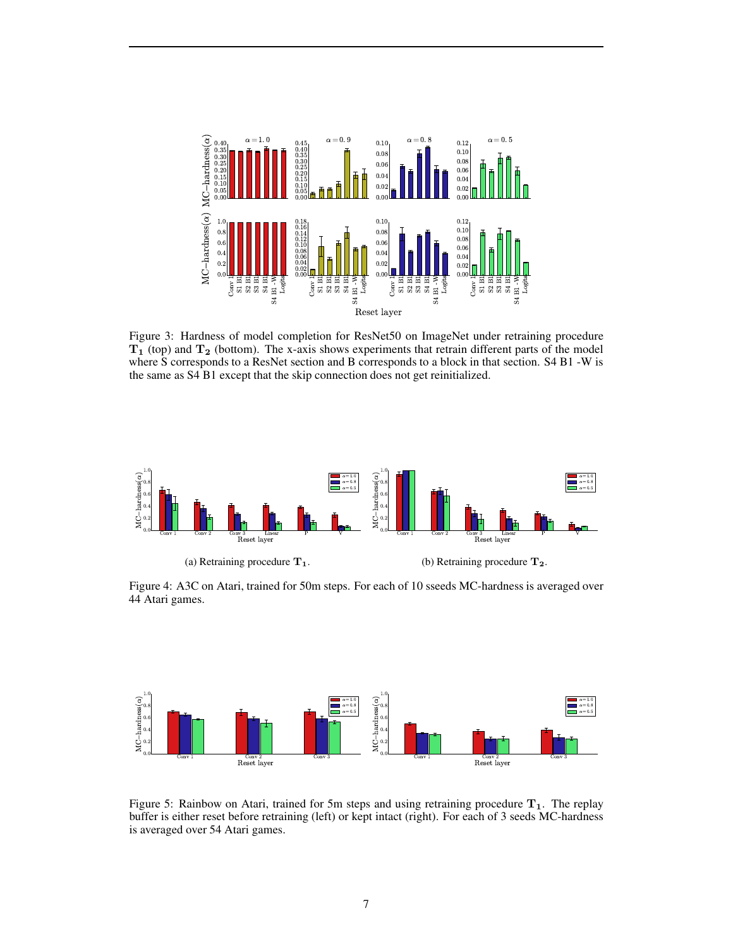<span id="page-6-0"></span>

Figure 3: Hardness of model completion for ResNet50 on ImageNet under retraining procedure  $T_1$  (top) and  $T_2$  (bottom). The x-axis shows experiments that retrain different parts of the model where S corresponds to a ResNet section and B corresponds to a block in that section. S4 B1 -W is the same as S4 B1 except that the skip connection does not get reinitialized.

<span id="page-6-1"></span>

Figure 4: A3C on Atari, trained for 50m steps. For each of 10 sseeds MC-hardness is averaged over 44 Atari games.

<span id="page-6-2"></span>

Figure 5: Rainbow on Atari, trained for 5m steps and using retraining procedure  $T_1$ . The replay buffer is either reset before retraining (left) or kept intact (right). For each of 3 seeds MC-hardness is averaged over 54 Atari games.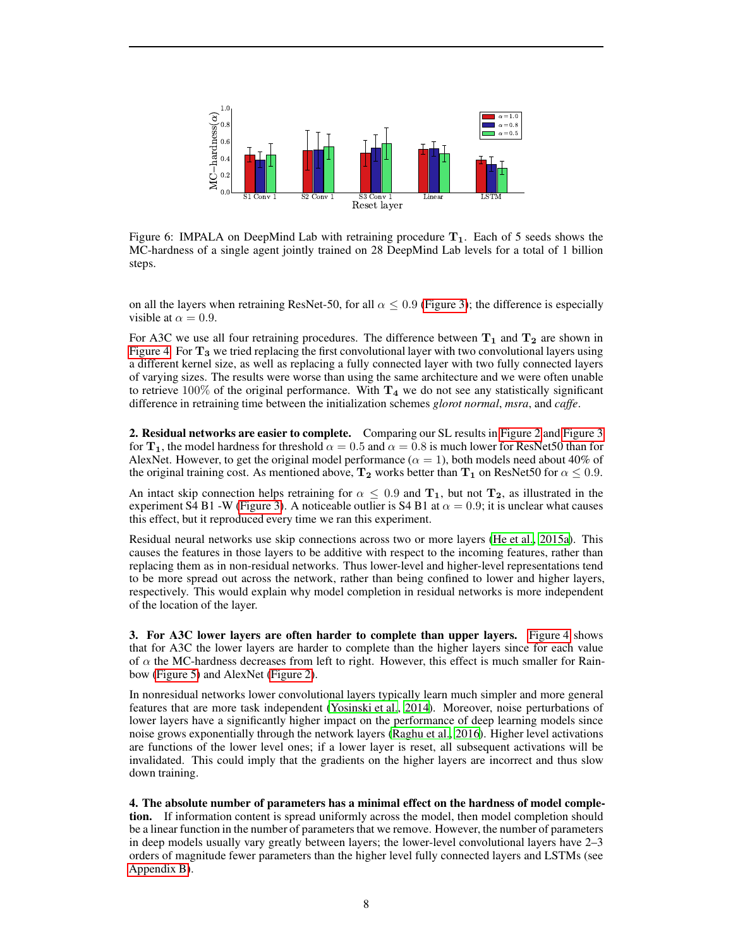<span id="page-7-0"></span>

Figure 6: IMPALA on DeepMind Lab with retraining procedure  $T_1$ . Each of 5 seeds shows the MC-hardness of a single agent jointly trained on 28 DeepMind Lab levels for a total of 1 billion steps.

on all the layers when retraining ResNet-50, for all  $\alpha \leq 0.9$  [\(Figure 3\)](#page-6-0); the difference is especially visible at  $\alpha = 0.9$ .

For A3C we use all four retraining procedures. The difference between  $T_1$  and  $T_2$  are shown in [Figure 4.](#page-6-1) For  $T_3$  we tried replacing the first convolutional layer with two convolutional layers using a different kernel size, as well as replacing a fully connected layer with two fully connected layers of varying sizes. The results were worse than using the same architecture and we were often unable to retrieve  $100\%$  of the original performance. With  $T_4$  we do not see any statistically significant difference in retraining time between the initialization schemes *glorot normal*, *msra*, and *caffe*.

2. Residual networks are easier to complete. Comparing our SL results in [Figure 2](#page-5-1) and [Figure 3](#page-6-0) for  $T_1$ , the model hardness for threshold  $\alpha = 0.5$  and  $\alpha = 0.8$  is much lower for ResNet50 than for AlexNet. However, to get the original model performance ( $\alpha = 1$ ), both models need about 40% of the original training cost. As mentioned above,  $T_2$  works better than  $T_1$  on ResNet50 for  $\alpha \leq 0.9$ .

An intact skip connection helps retraining for  $\alpha \leq 0.9$  and  $\mathbf{T}_1$ , but not  $\mathbf{T}_2$ , as illustrated in the experiment S4 B1 -W [\(Figure 3\)](#page-6-0). A noticeable outlier is S4 B1 at  $\alpha = 0.9$ ; it is unclear what causes this effect, but it reproduced every time we ran this experiment.

Residual neural networks use skip connections across two or more layers [\(He et al.](#page-10-4), [2015a\)](#page-10-4). This causes the features in those layers to be additive with respect to the incoming features, rather than replacing them as in non-residual networks. Thus lower-level and higher-level representations tend to be more spread out across the network, rather than being confined to lower and higher layers, respectively. This would explain why model completion in residual networks is more independent of the location of the layer.

3. For A3C lower layers are often harder to complete than upper layers. [Figure 4](#page-6-1) shows that for A3C the lower layers are harder to complete than the higher layers since for each value of  $\alpha$  the MC-hardness decreases from left to right. However, this effect is much smaller for Rainbow [\(Figure 5\)](#page-6-2) and AlexNet [\(Figure 2\)](#page-5-1).

In nonresidual networks lower convolutional layers typically learn much simpler and more general features that are more task independent [\(Yosinski et al.](#page-11-7), [2014\)](#page-11-7). Moreover, noise perturbations of lower layers have a significantly higher impact on the performance of deep learning models since noise grows exponentially through the network layers [\(Raghu et al., 2016\)](#page-11-15). Higher level activations are functions of the lower level ones; if a lower layer is reset, all subsequent activations will be invalidated. This could imply that the gradients on the higher layers are incorrect and thus slow down training.

4. The absolute number of parameters has a minimal effect on the hardness of model completion. If information content is spread uniformly across the model, then model completion should be a linear function in the number of parameters that we remove. However, the number of parameters in deep models usually vary greatly between layers; the lower-level convolutional layers have 2–3 orders of magnitude fewer parameters than the higher level fully connected layers and LSTMs (see [Appendix B\)](#page-13-0).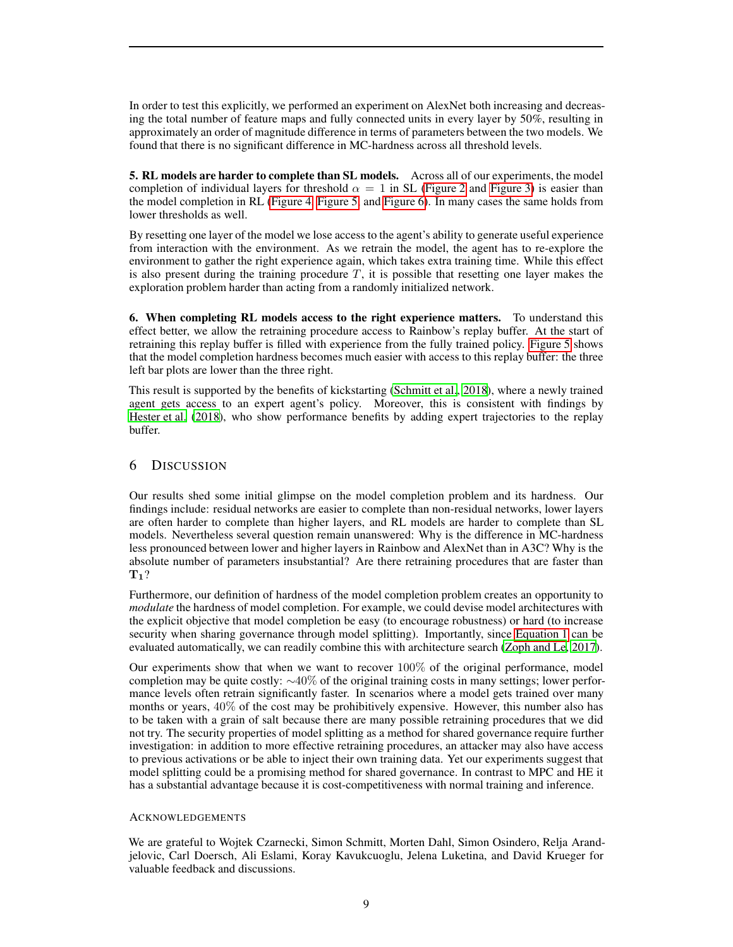In order to test this explicitly, we performed an experiment on AlexNet both increasing and decreasing the total number of feature maps and fully connected units in every layer by 50%, resulting in approximately an order of magnitude difference in terms of parameters between the two models. We found that there is no significant difference in MC-hardness across all threshold levels.

5. RL models are harder to complete than SL models. Across all of our experiments, the model completion of individual layers for threshold  $\alpha = 1$  in SL [\(Figure 2](#page-5-1) and [Figure 3\)](#page-6-0) is easier than the model completion in RL [\(Figure 4,](#page-6-1) [Figure 5,](#page-6-2) and [Figure 6\)](#page-7-0). In many cases the same holds from lower thresholds as well.

By resetting one layer of the model we lose access to the agent's ability to generate useful experience from interaction with the environment. As we retrain the model, the agent has to re-explore the environment to gather the right experience again, which takes extra training time. While this effect is also present during the training procedure  $T$ , it is possible that resetting one layer makes the exploration problem harder than acting from a randomly initialized network.

6. When completing RL models access to the right experience matters. To understand this effect better, we allow the retraining procedure access to Rainbow's replay buffer. At the start of retraining this replay buffer is filled with experience from the fully trained policy. [Figure 5](#page-6-2) shows that the model completion hardness becomes much easier with access to this replay buffer: the three left bar plots are lower than the three right.

This result is supported by the benefits of kickstarting [\(Schmitt et al., 2018](#page-11-16)), where a newly trained agent gets access to an expert agent's policy. Moreover, this is consistent with findings by [Hester et al. \(2018](#page-10-16)), who show performance benefits by adding expert trajectories to the replay buffer.

# 6 DISCUSSION

Our results shed some initial glimpse on the model completion problem and its hardness. Our findings include: residual networks are easier to complete than non-residual networks, lower layers are often harder to complete than higher layers, and RL models are harder to complete than SL models. Nevertheless several question remain unanswered: Why is the difference in MC-hardness less pronounced between lower and higher layers in Rainbow and AlexNet than in A3C? Why is the absolute number of parameters insubstantial? Are there retraining procedures that are faster than  $\mathbf{T}_1$ ?

Furthermore, our definition of hardness of the model completion problem creates an opportunity to *modulate* the hardness of model completion. For example, we could devise model architectures with the explicit objective that model completion be easy (to encourage robustness) or hard (to increase security when sharing governance through model splitting). Importantly, since [Equation 1](#page-3-3) can be evaluated automatically, we can readily combine this with architecture search [\(Zoph and Le, 2017\)](#page-11-17).

Our experiments show that when we want to recover  $100\%$  of the original performance, model completion may be quite costly:  $\sim$ 40% of the original training costs in many settings; lower performance levels often retrain significantly faster. In scenarios where a model gets trained over many months or years,  $40\%$  of the cost may be prohibitively expensive. However, this number also has to be taken with a grain of salt because there are many possible retraining procedures that we did not try. The security properties of model splitting as a method for shared governance require further investigation: in addition to more effective retraining procedures, an attacker may also have access to previous activations or be able to inject their own training data. Yet our experiments suggest that model splitting could be a promising method for shared governance. In contrast to MPC and HE it has a substantial advantage because it is cost-competitiveness with normal training and inference.

#### ACKNOWLEDGEMENTS

We are grateful to Wojtek Czarnecki, Simon Schmitt, Morten Dahl, Simon Osindero, Relja Arandjelovic, Carl Doersch, Ali Eslami, Koray Kavukcuoglu, Jelena Luketina, and David Krueger for valuable feedback and discussions.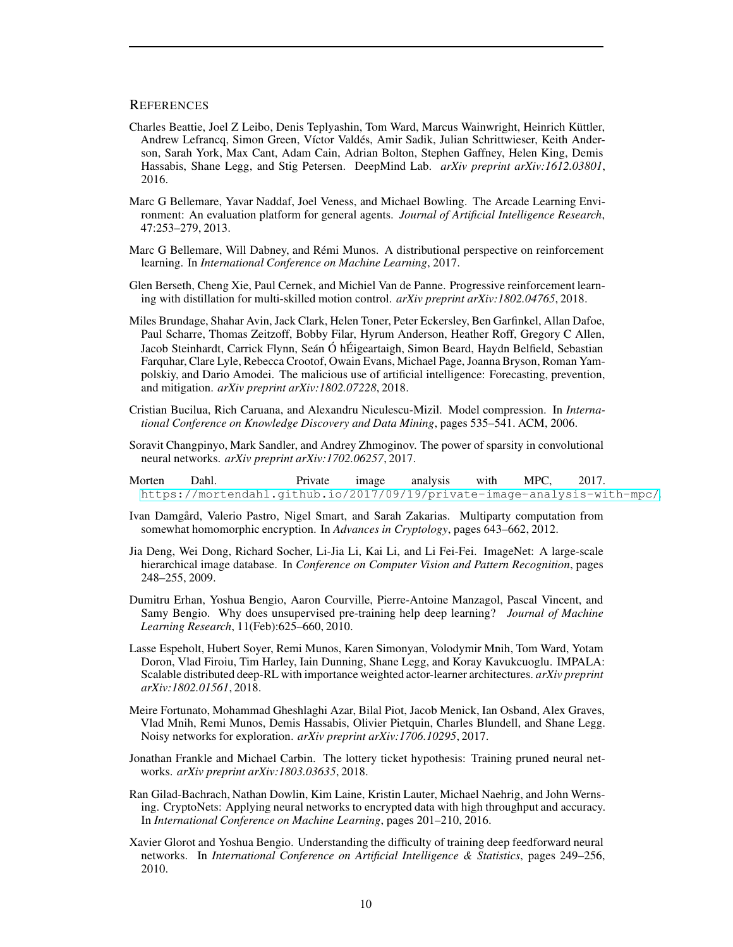#### **REFERENCES**

- <span id="page-9-6"></span>Charles Beattie, Joel Z Leibo, Denis Teplyashin, Tom Ward, Marcus Wainwright, Heinrich Küttler, Andrew Lefrancq, Simon Green, Víctor Valdés, Amir Sadik, Julian Schrittwieser, Keith Anderson, Sarah York, Max Cant, Adam Cain, Adrian Bolton, Stephen Gaffney, Helen King, Demis Hassabis, Shane Legg, and Stig Petersen. DeepMind Lab. *arXiv preprint arXiv:1612.03801*, 2016.
- <span id="page-9-4"></span>Marc G Bellemare, Yavar Naddaf, Joel Veness, and Michael Bowling. The Arcade Learning Environment: An evaluation platform for general agents. *Journal of Artificial Intelligence Research*, 47:253–279, 2013.
- <span id="page-9-14"></span>Marc G Bellemare, Will Dabney, and Rémi Munos. A distributional perspective on reinforcement learning. In *International Conference on Machine Learning*, 2017.
- <span id="page-9-11"></span>Glen Berseth, Cheng Xie, Paul Cernek, and Michiel Van de Panne. Progressive reinforcement learning with distillation for multi-skilled motion control. *arXiv preprint arXiv:1802.04765*, 2018.
- <span id="page-9-0"></span>Miles Brundage, Shahar Avin, Jack Clark, Helen Toner, Peter Eckersley, Ben Garfinkel, Allan Dafoe, Paul Scharre, Thomas Zeitzoff, Bobby Filar, Hyrum Anderson, Heather Roff, Gregory C Allen, Jacob Steinhardt, Carrick Flynn, Seán Ó hÉigeartaigh, Simon Beard, Haydn Belfield, Sebastian Farquhar, Clare Lyle, Rebecca Crootof, Owain Evans, Michael Page, Joanna Bryson, Roman Yampolskiy, and Dario Amodei. The malicious use of artificial intelligence: Forecasting, prevention, and mitigation. *arXiv preprint arXiv:1802.07228*, 2018.
- <span id="page-9-10"></span>Cristian Bucilua, Rich Caruana, and Alexandru Niculescu-Mizil. Model compression. In *International Conference on Knowledge Discovery and Data Mining*, pages 535–541. ACM, 2006.
- <span id="page-9-8"></span>Soravit Changpinyo, Mark Sandler, and Andrey Zhmoginov. The power of sparsity in convolutional neural networks. *arXiv preprint arXiv:1702.06257*, 2017.
- <span id="page-9-2"></span>Morten Dahl. Private image analysis with MPC, 2017. <https://mortendahl.github.io/2017/09/19/private-image-analysis-with-mpc/>.
- <span id="page-9-12"></span>Ivan Damgård, Valerio Pastro, Nigel Smart, and Sarah Zakarias. Multiparty computation from somewhat homomorphic encryption. In *Advances in Cryptology*, pages 643–662, 2012.
- <span id="page-9-3"></span>Jia Deng, Wei Dong, Richard Socher, Li-Jia Li, Kai Li, and Li Fei-Fei. ImageNet: A large-scale hierarchical image database. In *Conference on Computer Vision and Pattern Recognition*, pages 248–255, 2009.
- <span id="page-9-7"></span>Dumitru Erhan, Yoshua Bengio, Aaron Courville, Pierre-Antoine Manzagol, Pascal Vincent, and Samy Bengio. Why does unsupervised pre-training help deep learning? *Journal of Machine Learning Research*, 11(Feb):625–660, 2010.
- <span id="page-9-5"></span>Lasse Espeholt, Hubert Soyer, Remi Munos, Karen Simonyan, Volodymir Mnih, Tom Ward, Yotam Doron, Vlad Firoiu, Tim Harley, Iain Dunning, Shane Legg, and Koray Kavukcuoglu. IMPALA: Scalable distributed deep-RL with importance weighted actor-learner architectures. *arXiv preprint arXiv:1802.01561*, 2018.
- <span id="page-9-15"></span>Meire Fortunato, Mohammad Gheshlaghi Azar, Bilal Piot, Jacob Menick, Ian Osband, Alex Graves, Vlad Mnih, Remi Munos, Demis Hassabis, Olivier Pietquin, Charles Blundell, and Shane Legg. Noisy networks for exploration. *arXiv preprint arXiv:1706.10295*, 2017.
- <span id="page-9-9"></span>Jonathan Frankle and Michael Carbin. The lottery ticket hypothesis: Training pruned neural networks. *arXiv preprint arXiv:1803.03635*, 2018.
- <span id="page-9-1"></span>Ran Gilad-Bachrach, Nathan Dowlin, Kim Laine, Kristin Lauter, Michael Naehrig, and John Wernsing. CryptoNets: Applying neural networks to encrypted data with high throughput and accuracy. In *International Conference on Machine Learning*, pages 201–210, 2016.
- <span id="page-9-13"></span>Xavier Glorot and Yoshua Bengio. Understanding the difficulty of training deep feedforward neural networks. In *International Conference on Artificial Intelligence & Statistics*, pages 249–256, 2010.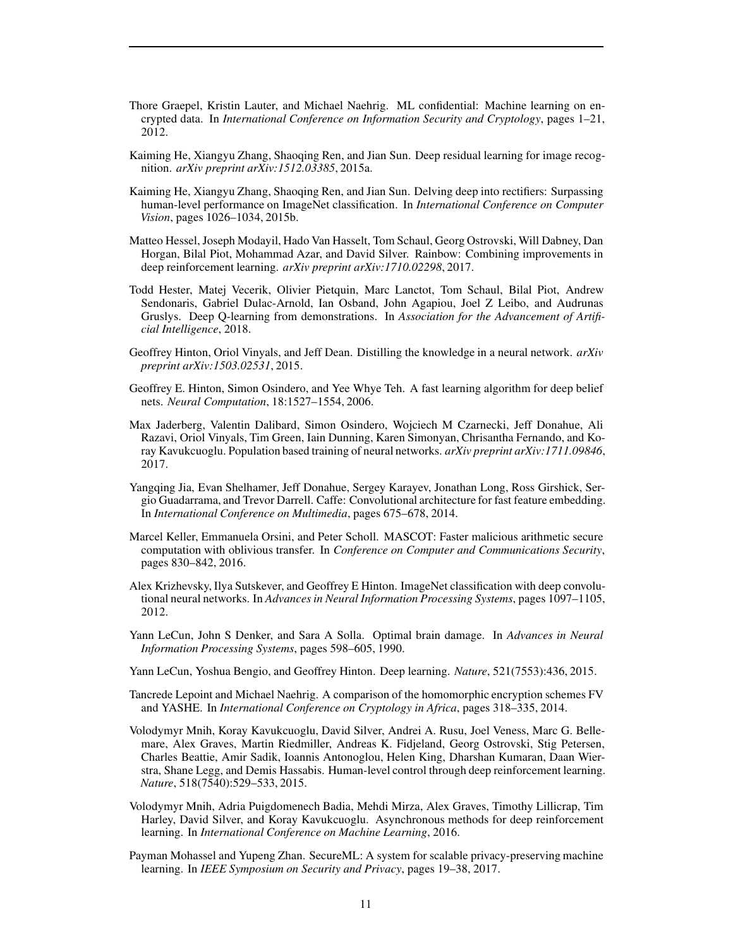- <span id="page-10-11"></span>Thore Graepel, Kristin Lauter, and Michael Naehrig. ML confidential: Machine learning on encrypted data. In *International Conference on Information Security and Cryptology*, pages 1–21, 2012.
- <span id="page-10-4"></span>Kaiming He, Xiangyu Zhang, Shaoqing Ren, and Jian Sun. Deep residual learning for image recognition. *arXiv preprint arXiv:1512.03385*, 2015a.
- <span id="page-10-12"></span>Kaiming He, Xiangyu Zhang, Shaoqing Ren, and Jian Sun. Delving deep into rectifiers: Surpassing human-level performance on ImageNet classification. In *International Conference on Computer Vision*, pages 1026–1034, 2015b.
- <span id="page-10-6"></span>Matteo Hessel, Joseph Modayil, Hado Van Hasselt, Tom Schaul, Georg Ostrovski, Will Dabney, Dan Horgan, Bilal Piot, Mohammad Azar, and David Silver. Rainbow: Combining improvements in deep reinforcement learning. *arXiv preprint arXiv:1710.02298*, 2017.
- <span id="page-10-16"></span>Todd Hester, Matej Vecerik, Olivier Pietquin, Marc Lanctot, Tom Schaul, Bilal Piot, Andrew Sendonaris, Gabriel Dulac-Arnold, Ian Osband, John Agapiou, Joel Z Leibo, and Audrunas Gruslys. Deep Q-learning from demonstrations. In *Association for the Advancement of Artificial Intelligence*, 2018.
- <span id="page-10-9"></span>Geoffrey Hinton, Oriol Vinyals, and Jeff Dean. Distilling the knowledge in a neural network. *arXiv preprint arXiv:1503.02531*, 2015.
- <span id="page-10-7"></span>Geoffrey E. Hinton, Simon Osindero, and Yee Whye Teh. A fast learning algorithm for deep belief nets. *Neural Computation*, 18:1527–1554, 2006.
- <span id="page-10-15"></span>Max Jaderberg, Valentin Dalibard, Simon Osindero, Wojciech M Czarnecki, Jeff Donahue, Ali Razavi, Oriol Vinyals, Tim Green, Iain Dunning, Karen Simonyan, Chrisantha Fernando, and Koray Kavukcuoglu. Population based training of neural networks. *arXiv preprint arXiv:1711.09846*, 2017.
- <span id="page-10-13"></span>Yangqing Jia, Evan Shelhamer, Jeff Donahue, Sergey Karayev, Jonathan Long, Ross Girshick, Sergio Guadarrama, and Trevor Darrell. Caffe: Convolutional architecture for fast feature embedding. In *International Conference on Multimedia*, pages 675–678, 2014.
- <span id="page-10-2"></span>Marcel Keller, Emmanuela Orsini, and Peter Scholl. MASCOT: Faster malicious arithmetic secure computation with oblivious transfer. In *Conference on Computer and Communications Security*, pages 830–842, 2016.
- <span id="page-10-3"></span>Alex Krizhevsky, Ilya Sutskever, and Geoffrey E Hinton. ImageNet classification with deep convolutional neural networks. In *Advances in Neural Information Processing Systems*, pages 1097–1105, 2012.
- <span id="page-10-8"></span>Yann LeCun, John S Denker, and Sara A Solla. Optimal brain damage. In *Advances in Neural Information Processing Systems*, pages 598–605, 1990.
- <span id="page-10-0"></span>Yann LeCun, Yoshua Bengio, and Geoffrey Hinton. Deep learning. *Nature*, 521(7553):436, 2015.
- <span id="page-10-1"></span>Tancrede Lepoint and Michael Naehrig. A comparison of the homomorphic encryption schemes FV and YASHE. In *International Conference on Cryptology in Africa*, pages 318–335, 2014.
- <span id="page-10-5"></span>Volodymyr Mnih, Koray Kavukcuoglu, David Silver, Andrei A. Rusu, Joel Veness, Marc G. Bellemare, Alex Graves, Martin Riedmiller, Andreas K. Fidjeland, Georg Ostrovski, Stig Petersen, Charles Beattie, Amir Sadik, Ioannis Antonoglou, Helen King, Dharshan Kumaran, Daan Wierstra, Shane Legg, and Demis Hassabis. Human-level control through deep reinforcement learning. *Nature*, 518(7540):529–533, 2015.
- <span id="page-10-14"></span>Volodymyr Mnih, Adria Puigdomenech Badia, Mehdi Mirza, Alex Graves, Timothy Lillicrap, Tim Harley, David Silver, and Koray Kavukcuoglu. Asynchronous methods for deep reinforcement learning. In *International Conference on Machine Learning*, 2016.
- <span id="page-10-10"></span>Payman Mohassel and Yupeng Zhan. SecureML: A system for scalable privacy-preserving machine learning. In *IEEE Symposium on Security and Privacy*, pages 19–38, 2017.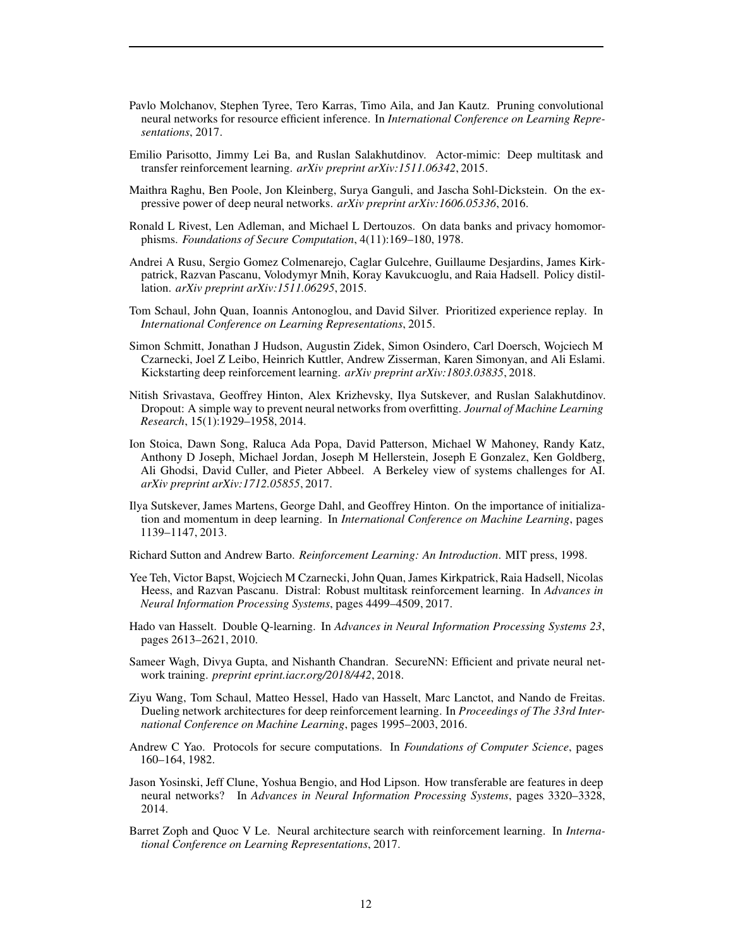- <span id="page-11-4"></span>Pavlo Molchanov, Stephen Tyree, Tero Karras, Timo Aila, and Jan Kautz. Pruning convolutional neural networks for resource efficient inference. In *International Conference on Learning Representations*, 2017.
- <span id="page-11-5"></span>Emilio Parisotto, Jimmy Lei Ba, and Ruslan Salakhutdinov. Actor-mimic: Deep multitask and transfer reinforcement learning. *arXiv preprint arXiv:1511.06342*, 2015.
- <span id="page-11-15"></span>Maithra Raghu, Ben Poole, Jon Kleinberg, Surya Ganguli, and Jascha Sohl-Dickstein. On the expressive power of deep neural networks. *arXiv preprint arXiv:1606.05336*, 2016.
- <span id="page-11-1"></span>Ronald L Rivest, Len Adleman, and Michael L Dertouzos. On data banks and privacy homomorphisms. *Foundations of Secure Computation*, 4(11):169–180, 1978.
- <span id="page-11-8"></span>Andrei A Rusu, Sergio Gomez Colmenarejo, Caglar Gulcehre, Guillaume Desjardins, James Kirkpatrick, Razvan Pascanu, Volodymyr Mnih, Koray Kavukcuoglu, and Raia Hadsell. Policy distillation. *arXiv preprint arXiv:1511.06295*, 2015.
- <span id="page-11-14"></span>Tom Schaul, John Quan, Ioannis Antonoglou, and David Silver. Prioritized experience replay. In *International Conference on Learning Representations*, 2015.
- <span id="page-11-16"></span>Simon Schmitt, Jonathan J Hudson, Augustin Zidek, Simon Osindero, Carl Doersch, Wojciech M Czarnecki, Joel Z Leibo, Heinrich Kuttler, Andrew Zisserman, Karen Simonyan, and Ali Eslami. Kickstarting deep reinforcement learning. *arXiv preprint arXiv:1803.03835*, 2018.
- <span id="page-11-3"></span>Nitish Srivastava, Geoffrey Hinton, Alex Krizhevsky, Ilya Sutskever, and Ruslan Salakhutdinov. Dropout: A simple way to prevent neural networks from overfitting. *Journal of Machine Learning Research*, 15(1):1929–1958, 2014.
- <span id="page-11-0"></span>Ion Stoica, Dawn Song, Raluca Ada Popa, David Patterson, Michael W Mahoney, Randy Katz, Anthony D Joseph, Michael Jordan, Joseph M Hellerstein, Joseph E Gonzalez, Ken Goldberg, Ali Ghodsi, David Culler, and Pieter Abbeel. A Berkeley view of systems challenges for AI. *arXiv preprint arXiv:1712.05855*, 2017.
- <span id="page-11-11"></span>Ilya Sutskever, James Martens, George Dahl, and Geoffrey Hinton. On the importance of initialization and momentum in deep learning. In *International Conference on Machine Learning*, pages 1139–1147, 2013.

<span id="page-11-10"></span>Richard Sutton and Andrew Barto. *Reinforcement Learning: An Introduction*. MIT press, 1998.

- <span id="page-11-6"></span>Yee Teh, Victor Bapst, Wojciech M Czarnecki, John Quan, James Kirkpatrick, Raia Hadsell, Nicolas Heess, and Razvan Pascanu. Distral: Robust multitask reinforcement learning. In *Advances in Neural Information Processing Systems*, pages 4499–4509, 2017.
- <span id="page-11-12"></span>Hado van Hasselt. Double Q-learning. In *Advances in Neural Information Processing Systems 23*, pages 2613–2621, 2010.
- <span id="page-11-9"></span>Sameer Wagh, Divya Gupta, and Nishanth Chandran. SecureNN: Efficient and private neural network training. *preprint eprint.iacr.org/2018/442*, 2018.
- <span id="page-11-13"></span>Ziyu Wang, Tom Schaul, Matteo Hessel, Hado van Hasselt, Marc Lanctot, and Nando de Freitas. Dueling network architectures for deep reinforcement learning. In *Proceedings of The 33rd International Conference on Machine Learning*, pages 1995–2003, 2016.
- <span id="page-11-2"></span>Andrew C Yao. Protocols for secure computations. In *Foundations of Computer Science*, pages 160–164, 1982.
- <span id="page-11-7"></span>Jason Yosinski, Jeff Clune, Yoshua Bengio, and Hod Lipson. How transferable are features in deep neural networks? In *Advances in Neural Information Processing Systems*, pages 3320–3328, 2014.
- <span id="page-11-17"></span>Barret Zoph and Quoc V Le. Neural architecture search with reinforcement learning. In *International Conference on Learning Representations*, 2017.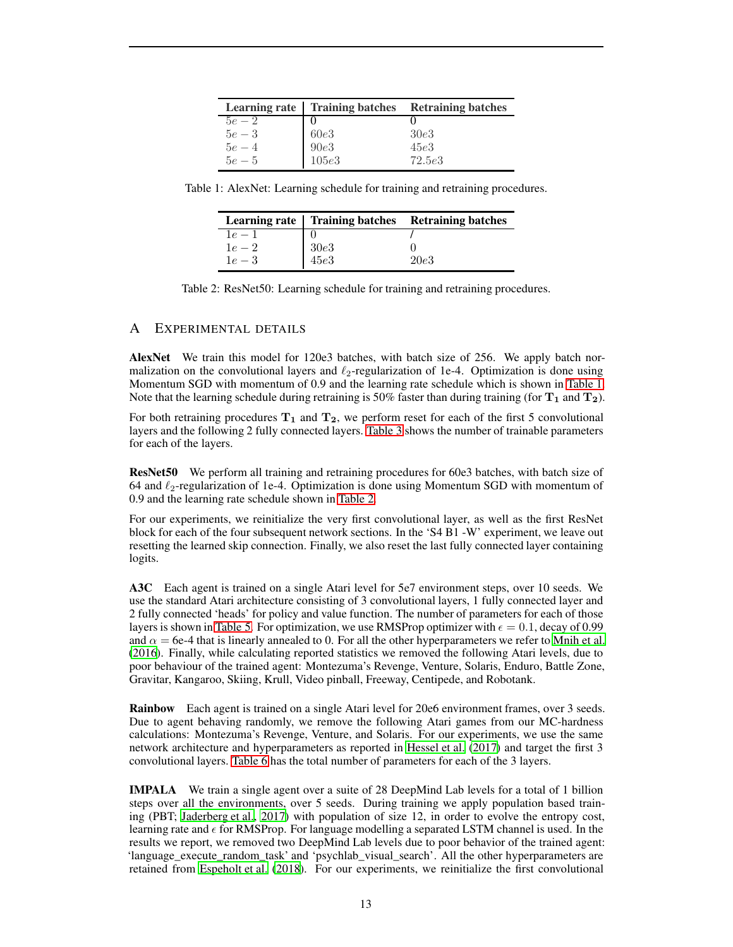<span id="page-12-1"></span>

|          |       | Learning rate   Training batches Retraining batches |
|----------|-------|-----------------------------------------------------|
| $5e - 2$ |       |                                                     |
| $5e-3$   | 60e3  | 30e3                                                |
| $5e-4$   | 90e3  | 45e3                                                |
| $5e - 5$ | 105e3 | 72.5e3                                              |

<span id="page-12-2"></span>Table 1: AlexNet: Learning schedule for training and retraining procedures.

|        |      | Learning rate   Training batches Retraining batches |
|--------|------|-----------------------------------------------------|
| $1e-1$ |      |                                                     |
| $1e-2$ | 30e3 |                                                     |
| $1e-3$ | 45e3 | 20e3                                                |

Table 2: ResNet50: Learning schedule for training and retraining procedures.

# <span id="page-12-0"></span>A EXPERIMENTAL DETAILS

AlexNet We train this model for 120e3 batches, with batch size of 256. We apply batch normalization on the convolutional layers and  $\ell_2$ -regularization of 1e-4. Optimization is done using Momentum SGD with momentum of 0.9 and the learning rate schedule which is shown in [Table 1.](#page-12-1) Note that the learning schedule during retraining is 50% faster than during training (for  $T_1$  and  $T_2$ ).

For both retraining procedures  $T_1$  and  $T_2$ , we perform reset for each of the first 5 convolutional layers and the following 2 fully connected layers. [Table 3](#page-13-1) shows the number of trainable parameters for each of the layers.

ResNet50 We perform all training and retraining procedures for 60e3 batches, with batch size of 64 and  $\ell_2$ -regularization of 1e-4. Optimization is done using Momentum SGD with momentum of 0.9 and the learning rate schedule shown in [Table 2.](#page-12-2)

For our experiments, we reinitialize the very first convolutional layer, as well as the first ResNet block for each of the four subsequent network sections. In the 'S4 B1 -W' experiment, we leave out resetting the learned skip connection. Finally, we also reset the last fully connected layer containing logits.

A3C Each agent is trained on a single Atari level for 5e7 environment steps, over 10 seeds. We use the standard Atari architecture consisting of 3 convolutional layers, 1 fully connected layer and 2 fully connected 'heads' for policy and value function. The number of parameters for each of those layers is shown in [Table 5.](#page-13-2) For optimization, we use RMSProp optimizer with  $\epsilon = 0.1$ , decay of 0.99 and  $\alpha = 6e-4$  that is linearly annealed to 0. For all the other hyperparameters we refer to [Mnih et al.](#page-10-14) [\(2016\)](#page-10-14). Finally, while calculating reported statistics we removed the following Atari levels, due to poor behaviour of the trained agent: Montezuma's Revenge, Venture, Solaris, Enduro, Battle Zone, Gravitar, Kangaroo, Skiing, Krull, Video pinball, Freeway, Centipede, and Robotank.

Rainbow Each agent is trained on a single Atari level for 20e6 environment frames, over 3 seeds. Due to agent behaving randomly, we remove the following Atari games from our MC-hardness calculations: Montezuma's Revenge, Venture, and Solaris. For our experiments, we use the same network architecture and hyperparameters as reported in [Hessel et al. \(2017\)](#page-10-6) and target the first 3 convolutional layers. [Table 6](#page-13-3) has the total number of parameters for each of the 3 layers.

IMPALA We train a single agent over a suite of 28 DeepMind Lab levels for a total of 1 billion steps over all the environments, over 5 seeds. During training we apply population based training (PBT; [Jaderberg et al.](#page-10-15), [2017](#page-10-15)) with population of size 12, in order to evolve the entropy cost, learning rate and  $\epsilon$  for RMSProp. For language modelling a separated LSTM channel is used. In the results we report, we removed two DeepMind Lab levels due to poor behavior of the trained agent: 'language\_execute\_random\_task' and 'psychlab\_visual\_search'. All the other hyperparameters are retained from [Espeholt et al.](#page-9-5) [\(2018\)](#page-9-5). For our experiments, we reinitialize the first convolutional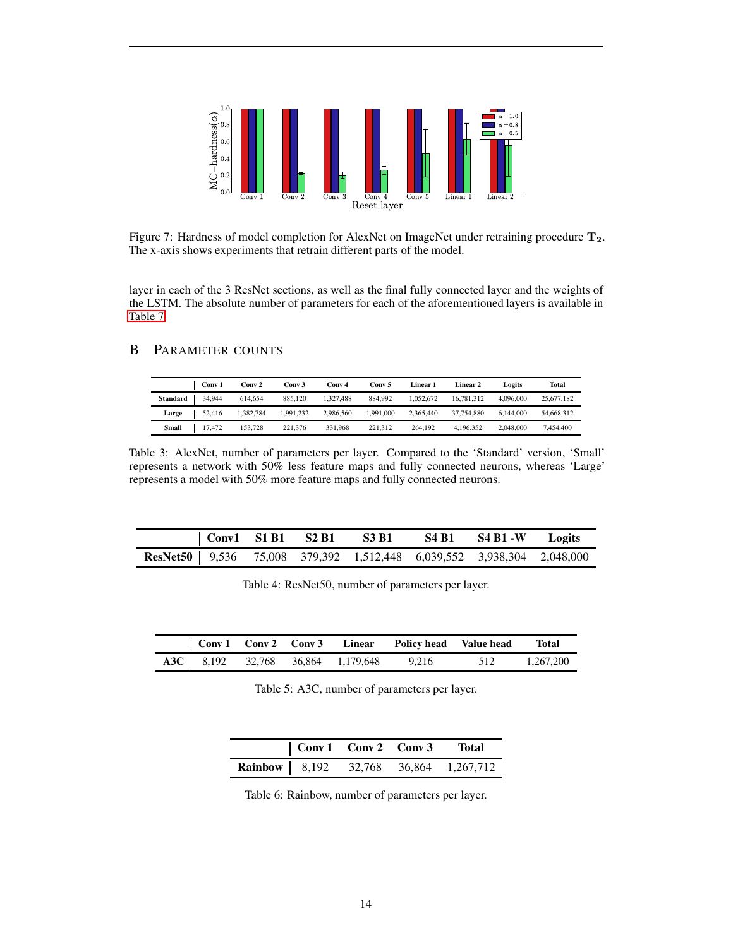

Figure 7: Hardness of model completion for AlexNet on ImageNet under retraining procedure  $T_2$ . The x-axis shows experiments that retrain different parts of the model.

layer in each of the 3 ResNet sections, as well as the final fully connected layer and the weights of the LSTM. The absolute number of parameters for each of the aforementioned layers is available in [Table 7.](#page-14-0)

# <span id="page-13-1"></span><span id="page-13-0"></span>B PARAMETER COUNTS

|          | Conv 1 | Conv 2    | Conv 3    | Conv 4    | Conv 5    | Linear 1  | Linear 2   | Logits    | Total      |
|----------|--------|-----------|-----------|-----------|-----------|-----------|------------|-----------|------------|
| Standard | 34,944 | 614,654   | 885,120   | 1.327.488 | 884,992   | 1.052.672 | 16,781,312 | 4,096,000 | 25,677,182 |
| Large    | 52,416 | 1,382,784 | 1,991,232 | 2,986,560 | 1.991.000 | 2.365.440 | 37,754,880 | 6,144,000 | 54,668,312 |
| Small    | 17,472 | 153,728   | 221,376   | 331,968   | 221.312   | 264.192   | 4.196.352  | 2,048,000 | 7.454.400  |

Table 3: AlexNet, number of parameters per layer. Compared to the 'Standard' version, 'Small' represents a network with 50% less feature maps and fully connected neurons, whereas 'Large' represents a model with 50% more feature maps and fully connected neurons.

|                                                                                |  | $\vert$ Conv1 S1 B1 S2 B1 S3 B1 | $S4 B1 S4 B1 - W$ Logits |  |
|--------------------------------------------------------------------------------|--|---------------------------------|--------------------------|--|
| <b>ResNet50</b>   9,536 75,008 379,392 1,512,448 6,039,552 3,938,304 2,048,000 |  |                                 |                          |  |

Table 4: ResNet50, number of parameters per layer.

<span id="page-13-3"></span><span id="page-13-2"></span>

|  |  |                                            | Conv 1 Conv 2 Conv 3 Linear Policy head Value head |     | <b>Total</b> |
|--|--|--------------------------------------------|----------------------------------------------------|-----|--------------|
|  |  | <b>A3C</b>   8,192 32,768 36,864 1,179,648 | 9.216                                              | 512 | 1.267.200    |

Table 5: A3C, number of parameters per layer.

| Conv 1 Conv 2 Conv 3 Total |  |                                                |
|----------------------------|--|------------------------------------------------|
|                            |  | <b>Rainbow</b>   8,192 32,768 36,864 1,267,712 |

Table 6: Rainbow, number of parameters per layer.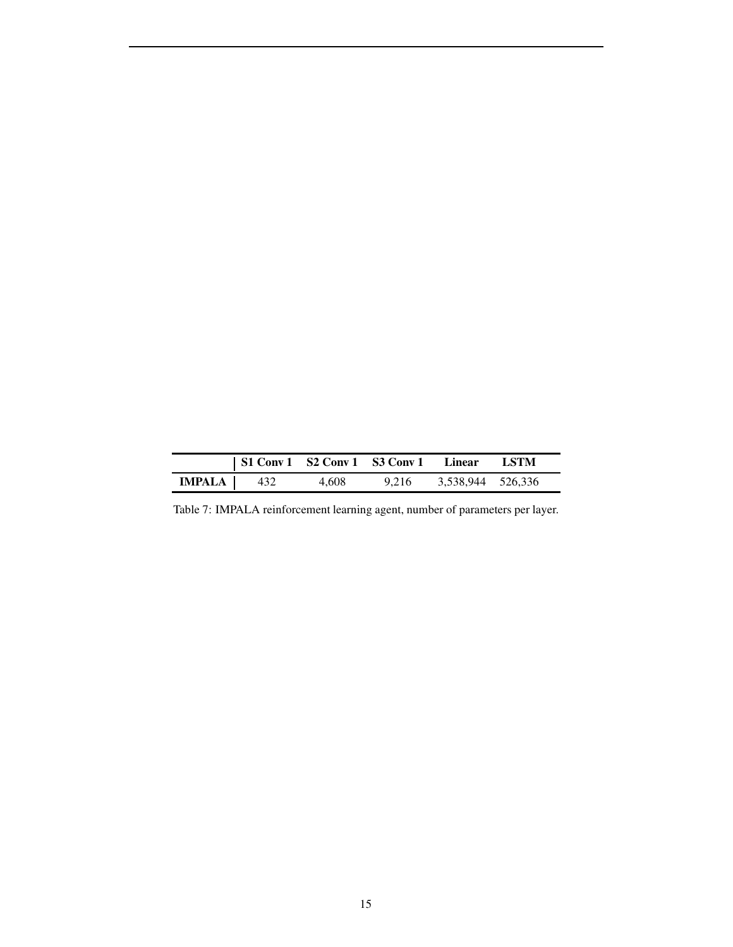<span id="page-14-0"></span>

|               | $\vert$ S1 Conv 1 S2 Conv 1 S3 Conv 1 Linear |       |       |                   | - LSTM |
|---------------|----------------------------------------------|-------|-------|-------------------|--------|
| <b>IMPALA</b> | 432                                          | 4.608 | 9.216 | 3,538,944 526,336 |        |

Table 7: IMPALA reinforcement learning agent, number of parameters per layer.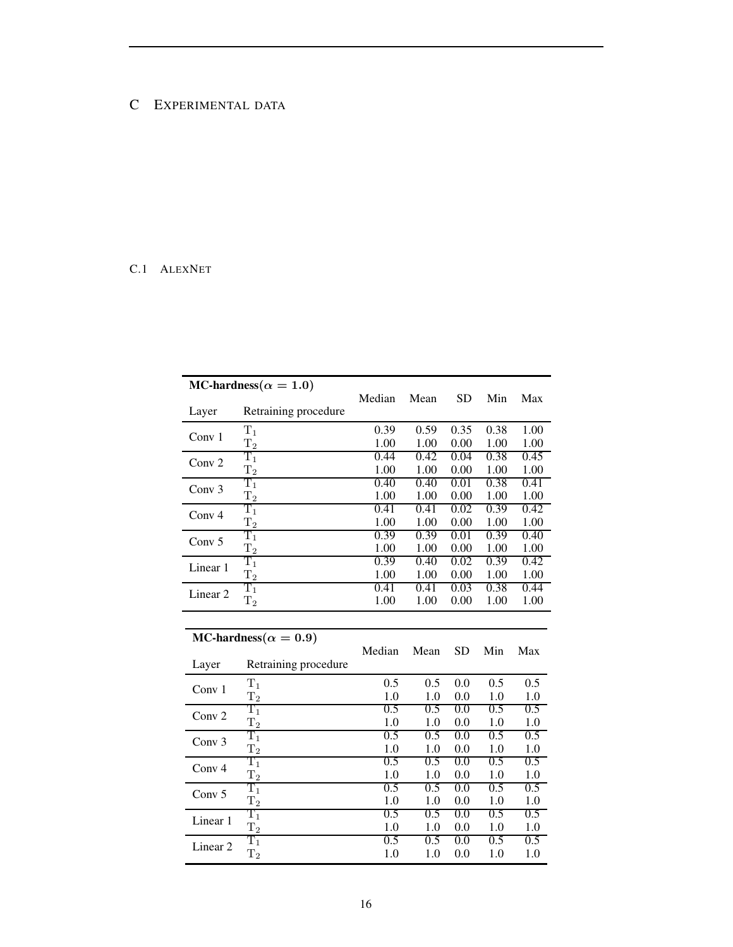# <span id="page-15-0"></span>C EXPERIMENTAL DATA

# C.1 ALEXNET

|                     | MC-hardness( $\alpha = 1.0$ ) | Median | Mean | SD.  | Min  | Max  |
|---------------------|-------------------------------|--------|------|------|------|------|
| Layer               | Retraining procedure          |        |      |      |      |      |
| Conv 1              | $\rm T_1$                     | 0.39   | 0.59 | 0.35 | 0.38 | 1.00 |
|                     | $T_2$                         | 1.00   | 1.00 | 0.00 | 1.00 | 1.00 |
| Conv <sub>2</sub>   | $\rm T_1$                     | 0.44   | 0.42 | 0.04 | 0.38 | 0.45 |
|                     | $T_{2}$                       | 1.00   | 1.00 | 0.00 | 1.00 | 1.00 |
| Conv $3$            | $\rm T_1$                     | 0.40   | 0.40 | 0.01 | 0.38 | 0.41 |
|                     | $T_{2}$                       | 1.00   | 1.00 | 0.00 | 1.00 | 1.00 |
| Conv <sub>4</sub>   | $\rm T_1$                     | 0.41   | 0.41 | 0.02 | 0.39 | 0.42 |
|                     | $T_2$                         | 1.00   | 1.00 | 0.00 | 1.00 | 1.00 |
| Conv <sub>5</sub>   | $\rm T_1$                     | 0.39   | 0.39 | 0.01 | 0.39 | 0.40 |
|                     | $\rm T_2$                     | 1.00   | 1.00 | 0.00 | 1.00 | 1.00 |
| Linear 1            | $\rm T_1$                     | 0.39   | 0.40 | 0.02 | 0.39 | 0.42 |
|                     | $T_{2}$                       | 1.00   | 1.00 | 0.00 | 1.00 | 1.00 |
| Linear <sub>2</sub> | $\rm T_1$                     | 0.41   | 0.41 | 0.03 | 0.38 | 0.44 |
|                     | $T_{2}$                       | 1.00   | 1.00 | 0.00 | 1.00 | 1.00 |
|                     |                               |        |      |      |      |      |

MC-hardness $(\alpha = 0.9)$ 

|                   |                      | Median | Mean | <b>SD</b> | Min | Max |
|-------------------|----------------------|--------|------|-----------|-----|-----|
| Layer             | Retraining procedure |        |      |           |     |     |
| Conv $1$          | $T_1$                | 0.5    | 0.5  | 0.0       | 0.5 | 0.5 |
|                   | $\rm T_2$            | 1.0    | 1.0  | 0.0       | 1.0 | 1.0 |
| Conv <sub>2</sub> | $\rm T_1$            | 0.5    | 0.5  | 0.0       | 0.5 | 0.5 |
|                   | $T_2$                | 1.0    | 1.0  | 0.0       | 1.0 | 1.0 |
| Conv $3$          | $\rm T_1$            | 0.5    | 0.5  | 0.0       | 0.5 | 0.5 |
|                   | $T_2$                | 1.0    | 1.0  | 0.0       | 1.0 | 1.0 |
| Conv <sub>4</sub> | $\rm T_1$            | 0.5    | 0.5  | 0.0       | 0.5 | 0.5 |
|                   | $T_{2}$              | 1.0    | 1.0  | 0.0       | 1.0 | 1.0 |
| Conv $5$          | $\rm T_1$            | 0.5    | 0.5  | 0.0       | 0.5 | 0.5 |
|                   | $T_{2}$              | 1.0    | 1.0  | 0.0       | 1.0 | 1.0 |
| Linear 1          | $\rm T_1$            | 0.5    | 0.5  | 0.0       | 0.5 | 0.5 |
|                   | $T_{2}$              | 1.0    | 1.0  | 0.0       | 1.0 | 1.0 |
| Linear 2          | $\rm T_1$            | 0.5    | 0.5  | 0.0       | 0.5 | 0.5 |
|                   | $T_{2}$              | 1.0    | 1.0  | 0.0       | 1.0 | 1.0 |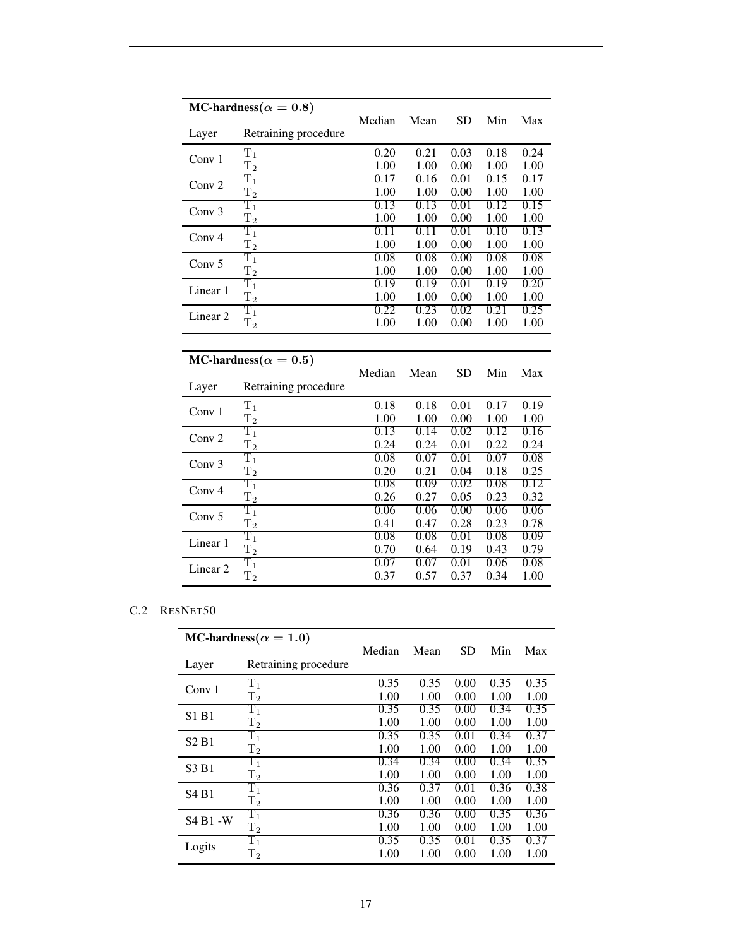|                     | MC-hardness( $\alpha = 0.8$ ) | Median | Mean | <b>SD</b> | Min  | Max  |
|---------------------|-------------------------------|--------|------|-----------|------|------|
| Layer               | Retraining procedure          |        |      |           |      |      |
| Conv $1$            | $\rm T_1$                     | 0.20   | 0.21 | 0.03      | 0.18 | 0.24 |
|                     | $\rm T_2$                     | 1.00   | 1.00 | 0.00      | 1.00 | 1.00 |
| Conv <sub>2</sub>   | $\rm T_1$                     | 0.17   | 0.16 | 0.01      | 0.15 | 0.17 |
|                     | $\rm T_2$                     | 1.00   | 1.00 | 0.00      | 1.00 | 1.00 |
| Conv $3$            | $\rm T_1$                     | 0.13   | 0.13 | 0.01      | 0.12 | 0.15 |
|                     | $\rm T_2$                     | 1.00   | 1.00 | 0.00      | 1.00 | 1.00 |
| Conv <sub>4</sub>   | $\rm T_1$                     | 0.11   | 0.11 | 0.01      | 0.10 | 0.13 |
|                     | $T_2$                         | 1.00   | 1.00 | 0.00      | 1.00 | 1.00 |
| Conv <sub>5</sub>   | $\rm T_1$                     | 0.08   | 0.08 | 0.00      | 0.08 | 0.08 |
|                     | $\rm T_2$                     | 1.00   | 1.00 | 0.00      | 1.00 | 1.00 |
| Linear 1            | $\rm T_1$                     | 0.19   | 0.19 | 0.01      | 0.19 | 0.20 |
|                     | $T_2$                         | 1.00   | 1.00 | 0.00      | 1.00 | 1.00 |
| Linear 2            | $\rm T_1$                     | 0.22   | 0.23 | 0.02      | 0.21 | 0.25 |
|                     | $T_2$                         | 1.00   | 1.00 | 0.00      | 1.00 | 1.00 |
|                     |                               |        |      |           |      |      |
|                     |                               |        |      |           |      |      |
|                     | MC-hardness( $\alpha = 0.5$ ) |        |      |           |      |      |
|                     |                               | Median | Mean | <b>SD</b> | Min  | Max  |
| Layer               | Retraining procedure          |        |      |           |      |      |
|                     | $T_1$                         | 0.18   | 0.18 | 0.01      | 0.17 | 0.19 |
| Conv 1              | $\rm T_2$                     | 1.00   | 1.00 | 0.00      | 1.00 | 1.00 |
|                     | $\rm T_1$                     | 0.13   | 0.14 | 0.02      | 0.12 | 0.16 |
| Conv <sub>2</sub>   | $\rm T_2$                     | 0.24   | 0.24 | 0.01      | 0.22 | 0.24 |
|                     | $\rm T_1$                     | 0.08   | 0.07 | 0.01      | 0.07 | 0.08 |
| Conv 3              | $\rm T_2$                     | 0.20   | 0.21 | 0.04      | 0.18 | 0.25 |
|                     | $\rm T_1$                     | 0.08   | 0.09 | 0.02      | 0.08 | 0.12 |
| Conv <sub>4</sub>   | $\rm T_2$                     | 0.26   | 0.27 | 0.05      | 0.23 | 0.32 |
|                     | $\rm T_1$                     | 0.06   | 0.06 | 0.00      | 0.06 | 0.06 |
| Conv $5$            | $\rm T_2$                     | 0.41   | 0.47 | 0.28      | 0.23 | 0.78 |
|                     | $\rm T_1$                     | 0.08   | 0.08 | 0.01      | 0.08 | 0.09 |
| Linear 1            | $\rm T_2$                     | 0.70   | 0.64 | 0.19      | 0.43 | 0.79 |
| Linear <sub>2</sub> | $\rm T_1$<br>$\rm T_2$        | 0.07   | 0.07 | 0.01      | 0.06 | 0.08 |

# C.2 RESNET50

|                               | MC-hardness( $\alpha = 1.0$ ) | Median | Mean | <b>SD</b> | Min  | Max  |
|-------------------------------|-------------------------------|--------|------|-----------|------|------|
| Layer                         | Retraining procedure          |        |      |           |      |      |
| Conv 1                        | $T_1$                         | 0.35   | 0.35 | 0.00      | 0.35 | 0.35 |
|                               | $\rm T_2$                     | 1.00   | 1.00 | 0.00      | 1.00 | 1.00 |
| S1 B1                         | $\rm T_1$                     | 0.35   | 0.35 | 0.00      | 0.34 | 0.35 |
|                               | $T_2$                         | 1.00   | 1.00 | 0.00      | 1.00 | 1.00 |
| S <sub>2</sub> B <sub>1</sub> | $\rm T_1$                     | 0.35   | 0.35 | 0.01      | 0.34 | 0.37 |
|                               | $T_{2}$                       | 1.00   | 1.00 | 0.00      | 1.00 | 1.00 |
| S3 B1                         | $\rm T_1$                     | 0.34   | 0.34 | 0.00      | 0.34 | 0.35 |
|                               | $T_2$                         | 1.00   | 1.00 | 0.00      | 1.00 | 1.00 |
| S <sub>4</sub> B <sub>1</sub> | $\rm T_1$                     | 0.36   | 0.37 | 0.01      | 0.36 | 0.38 |
|                               | $T_{2}$                       | 1.00   | 1.00 | 0.00      | 1.00 | 1.00 |
| <b>S4 B1 -W</b>               | $\rm T_1$                     | 0.36   | 0.36 | 0.00      | 0.35 | 0.36 |
|                               | $\rm T_2$                     | 1.00   | 1.00 | 0.00      | 1.00 | 1.00 |
| Logits                        | $\rm T_1$                     | 0.35   | 0.35 | 0.01      | 0.35 | 0.37 |
|                               | $\rm T_2$                     | 1.00   | 1.00 | 0.00      | 1.00 | 1.00 |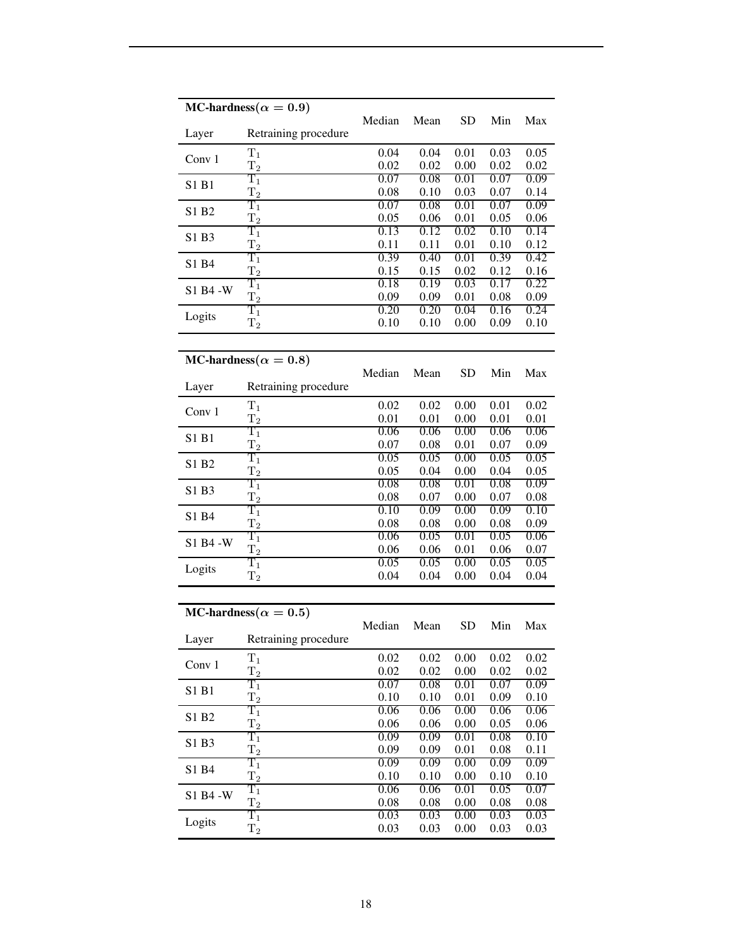|           | MC-hardness( $\alpha = 0.9$ ) |              |              |              |              |              |
|-----------|-------------------------------|--------------|--------------|--------------|--------------|--------------|
| Layer     | Retraining procedure          | Median       | Mean         | SD           | Min          | Max          |
| Conv 1    | $T_1$                         | 0.04         | 0.04         | 0.01         | 0.03         | 0.05         |
|           | $T_{2}$                       | 0.02         | 0.02         | 0.00         | 0.02         | 0.02         |
| S1 B1     | $\rm T_1$                     | 0.07         | 0.08         | 0.01         | 0.07         | 0.09         |
|           | $\rm T_2$                     | 0.08         | 0.10         | 0.03         | 0.07         | 0.14         |
| S1 B2     | $\rm T_1$                     | 0.07         | 0.08         | 0.01         | 0.07         | 0.09         |
|           | $T_{2}$<br>$\rm T_1$          | 0.05<br>0.13 | 0.06<br>0.12 | 0.01<br>0.02 | 0.05<br>0.10 | 0.06<br>0.14 |
| S1 B3     | $\rm T_2$                     | 0.11         | 0.11         | 0.01         | 0.10         | 0.12         |
|           | $\mathrm{T}_1$                | 0.39         | 0.40         | 0.01         | 0.39         | 0.42         |
| S1 B4     | $T_2$                         | 0.15         | 0.15         | 0.02         | 0.12         | 0.16         |
|           | $\rm T_1$                     | 0.18         | 0.19         | 0.03         | 0.17         | 0.22         |
| S1 B4 - W | $\rm T_2$                     | 0.09         | 0.09         | 0.01         | 0.08         | 0.09         |
|           | $\rm T_1$                     | 0.20         | 0.20         | 0.04         | 0.16         | 0.24         |
| Logits    | $T_{2}$                       | 0.10         | 0.10         | 0.00         | 0.09         | 0.10         |
|           |                               |              |              |              |              |              |
|           | MC-hardness( $\alpha = 0.8$ ) |              |              |              |              |              |
|           |                               | Median       | Mean         | <b>SD</b>    | Min          | Max          |
| Layer     | Retraining procedure          |              |              |              |              |              |
|           | $\rm T_1$                     | 0.02         | 0.02         | 0.00         | 0.01         | 0.02         |
| Conv 1    | $\rm T_2$                     | 0.01         | 0.01         | 0.00         | 0.01         | 0.01         |
|           | $\rm T_1$                     | 0.06         | 0.06         | 0.00         | 0.06         | 0.06         |
| S1 B1     | $T_2$                         | 0.07         | 0.08         | 0.01         | 0.07         | 0.09         |
|           | $\rm T_1$                     | 0.05         | 0.05         | 0.00         | 0.05         | 0.05         |
| S1 B2     | $\rm T_2$                     | 0.05         | 0.04         | 0.00         | 0.04         | 0.05         |
|           | $\rm T_1$                     | 0.08         | 0.08         | 0.01         | 0.08         | 0.09         |
| S1 B3     | $\mathrm{T}_2$                | 0.08         | 0.07         | 0.00         | 0.07         | 0.08         |
| S1 B4     | $\rm T_1$                     | 0.10         | 0.09         | 0.00         | 0.09         | 0.10         |
|           | $\rm T_2$                     | 0.08         | 0.08         | 0.00         | 0.08         | 0.09         |
| S1 B4 - W | $\rm T_1$                     | 0.06         | 0.05         | 0.01         | 0.05         | 0.06         |
|           | $T_2$                         | 0.06         | 0.06         | 0.01         | 0.06         | 0.07         |
| Logits    | $\rm T_1$                     | 0.05         | 0.05         | 0.00         | 0.05         | 0.05         |
|           | $\mathrm{T}_2$                | 0.04         | 0.04         | 0.00         | 0.04         | 0.04         |
|           |                               |              |              |              |              |              |
|           | MC-hardness( $\alpha = 0.5$ ) |              |              |              |              |              |
|           |                               | Median       | Mean         | SD           | Min          | Max          |
| Layer     | Retraining procedure          |              |              |              |              |              |
| Conv 1    | $T_1$                         | 0.02         | 0.02         | 0.00         | 0.02         | 0.02         |
|           | $\rm T_2$                     | 0.02         | 0.02         | 0.00         | 0.02         | 0.02         |
| S1 B1     | $\rm T_1$                     | 0.07         | 0.08         | 0.01         | 0.07         | 0.09         |
|           | $T_2$                         | 0.10         | 0.10         | 0.01         | 0.09         | 0.10         |
| S1 B2     | $\rm T_1$                     | 0.06         | 0.06         | 0.00         | 0.06         | 0.06         |
|           | $\rm T_2$                     | 0.06         | 0.06         | 0.00         | 0.05         | 0.06         |
| S1 B3     | $\overline{\mathrm{T}_1}$     | 0.09         | 0.09         | 0.01         | 0.08         | 0.10         |
|           | $T_2$                         | 0.09         | 0.09         | 0.01         | 0.08         | 0.11         |
| S1 B4     | $\rm T_1$                     | 0.09         | 0.09         | 0.00         | 0.09         | 0.09         |
|           | $T_2$                         | 0.10         | 0.10         | 0.00         | 0.10         | 0.10         |
| S1 B4 -W  | $\overline{\mathrm{T}_1}$     | 0.06         | 0.06         | 0.01         | 0.05         | 0.07         |
|           | $\mathrm{T}_2$<br>$\rm T_1$   | 0.08<br>0.03 | 0.08<br>0.03 | 0.00<br>0.00 | 0.08<br>0.03 | 0.08<br>0.03 |
| Logits    | $T_2$                         | 0.03         | 0.03         | 0.00         | 0.03         | 0.03         |
|           |                               |              |              |              |              |              |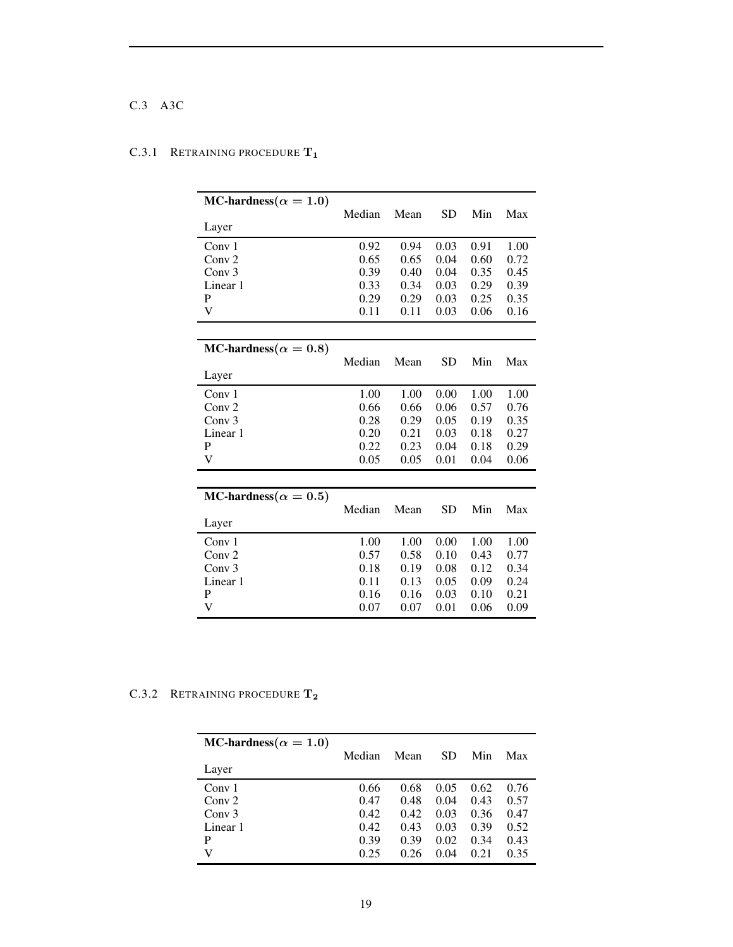# C.3 A3C

# MC-hardness( $\alpha = 1.0$ ) Median Mean SD Min Max Layer Conv 1 0.92 0.94 0.03 0.91 1.00 Conv 2 0.65 0.65 0.04 0.60 0.72 Conv 3 0.39 0.40 0.04 0.35 0.45 Linear 1 0.33 0.34 0.03 0.29 0.39 P<br>
0.29 0.29 0.29 0.03 0.25 0.35 P 0.29 0.29 0.03 0.25 0.35 V 0.11 0.11 0.03 0.06 0.16 MC-hardness( $\alpha = 0.8$ ) Median Mean SD Min Max Layer Conv 1 1.00 1.00 1.00 1.00 1.00 Conv 2 0.66 0.66 0.06 0.57 0.76 Conv 3 0.28 0.29 0.05 0.19 0.35 Linear 1 0.20 0.21 0.03 0.18 0.27<br>P 0.22 0.23 0.04 0.18 0.29 P 0.22 0.23 0.04 0.18 0.29 V 0.05 0.05 0.01 0.04 0.06 MC-hardness( $\alpha = 0.5$ ) Median Mean SD Min Max Layer Conv 1 1.00 1.00 1.00 1.00 1.00 Conv 2 0.57 0.58 0.10 0.43 0.77 Conv 3 0.18 0.19 0.08 0.12 0.34 Linear 1 0.11 0.13 0.05 0.09 0.24<br>P 0.16 0.16 0.03 0.10 0.21 P 0.16 0.16 0.03 0.10 0.21 V 0.07 0.07 0.01 0.06 0.09

## C.3.1 RETRAINING PROCEDURE  $T_1$

#### C.3.2 RETRAINING PROCEDURE T<sub>2</sub>

| MC-hardness( $\alpha = 1.0$ )<br>Layer | Median | Mean | SD   | Min  | Max  |
|----------------------------------------|--------|------|------|------|------|
| Conv 1                                 | 0.66   | 0.68 | 0.05 | 0.62 | 0.76 |
| Conv $2$                               | 0.47   | 0.48 | 0.04 | 0.43 | 0.57 |
| Conv <sub>3</sub>                      | 0.42   | 0.42 | 0.03 | 0.36 | 0.47 |
| Linear 1                               | 0.42   | 0.43 | 0.03 | 0.39 | 0.52 |
| P                                      | 0.39   | 0.39 | 0.02 | 0.34 | 0.43 |
| V                                      | 0.25   | 0.26 | 0.04 | 0.21 | 0.35 |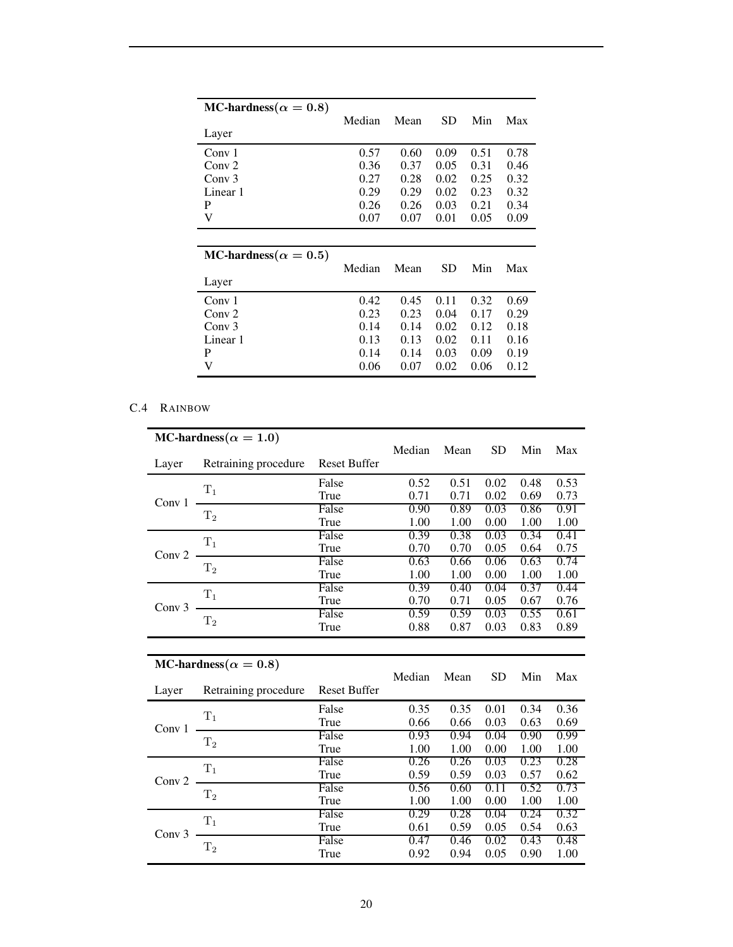| MC-hardness( $\alpha = 0.8$ )<br>Layer | Median | Mean | SD   | Min  | Max  |
|----------------------------------------|--------|------|------|------|------|
| Conv 1                                 | 0.57   | 0.60 | 0.09 | 0.51 | 0.78 |
| Conv <sub>2</sub>                      | 0.36   | 0.37 | 0.05 | 0.31 | 0.46 |
| Conv <sub>3</sub>                      | 0.27   | 0.28 | 0.02 | 0.25 | 0.32 |
| Linear 1                               | 0.29   | 0.29 | 0.02 | 0.23 | 0.32 |
| P                                      | 0.26   | 0.26 | 0.03 | 0.21 | 0.34 |
| V                                      | 0.07   | 0.07 | 0.01 | 0.05 | 0.09 |
|                                        |        |      |      |      |      |
| MC-hardness( $\alpha = 0.5$ )          | Median | Mean | SD   | Min  | Max  |
| Layer                                  |        |      |      |      |      |
| Conv 1                                 | 0.42   | 0.45 | 0.11 | 0.32 | 0.69 |
| Conv <sub>2</sub>                      | 0.23   | 0.23 | 0.04 | 0.17 | 0.29 |
| Conv <sub>3</sub>                      | 0.14   | 0.14 | 0.02 | 0.12 | 0.18 |
| Linear 1                               | 0.13   | 0.13 | 0.02 | 0.11 | 0.16 |
| P                                      | 0.14   | 0.14 | 0.03 | 0.09 | 0.19 |
| V                                      | 0.06   | 0.07 | 0.02 | 0.06 | 0.12 |

# C.4 RAINBOW

|                   | MC-hardness( $\alpha = 1.0$ ) |                     |              |              |              |              |              |
|-------------------|-------------------------------|---------------------|--------------|--------------|--------------|--------------|--------------|
|                   |                               |                     | Median       | Mean         | <b>SD</b>    | Min          | Max          |
| Layer             | Retraining procedure          | <b>Reset Buffer</b> |              |              |              |              |              |
|                   | $T_1$                         | False               | 0.52         | 0.51         | 0.02         | 0.48         | 0.53         |
| Conv 1            |                               | True                | 0.71         | 0.71         | 0.02         | 0.69         | 0.73         |
|                   | $T_{2}$                       | False               | 0.90         | 0.89         | 0.03         | 0.86         | 0.91         |
|                   |                               | True                | 1.00         | 1.00         | 0.00         | 1.00         | 1.00         |
|                   | $T_1$                         | False               | 0.39         | 0.38         | 0.03         | 0.34         | 0.41         |
| Conv 2            |                               | True                | 0.70         | 0.70         | 0.05         | 0.64         | 0.75         |
|                   | T <sub>2</sub>                | False               | 0.63         | 0.66         | 0.06         | 0.63         | 0.74         |
|                   |                               | True                | 1.00         | 1.00         | 0.00         | 1.00         | 1.00         |
|                   | $T_1$                         | False               | 0.39         | 0.40         | 0.04         | 0.37         | 0.44         |
| Conv $3$          |                               | True                | 0.70         | 0.71         | 0.05         | 0.67         | 0.76         |
|                   | $\rm T_2$                     | False               | 0.59         | 0.59         | 0.03         | 0.55         | 0.61         |
|                   |                               | True                | 0.88         | 0.87         | 0.03         | 0.83         | 0.89         |
|                   |                               |                     |              |              |              |              |              |
|                   |                               |                     |              |              |              |              |              |
|                   | MC-hardness( $\alpha = 0.8$ ) |                     |              |              |              |              |              |
|                   |                               |                     | Median       | Mean         | <b>SD</b>    | Min          | Max          |
| Layer             | Retraining procedure          | <b>Reset Buffer</b> |              |              |              |              |              |
|                   |                               | False               | 0.35         | 0.35         | 0.01         | 0.34         | 0.36         |
|                   | $T_1$                         | True                | 0.66         | 0.66         | 0.03         | 0.63         | 0.69         |
| Conv 1            |                               | False               | 0.93         | 0.94         | 0.04         | 0.90         | 0.99         |
|                   | $\rm T_2$                     | True                | 1.00         | 1.00         | 0.00         | 1.00         | 1.00         |
|                   |                               | False               | 0.26         | 0.26         | 0.03         | 0.23         | 0.28         |
|                   | $T_1$                         | True                | 0.59         | 0.59         | 0.03         | 0.57         | 0.62         |
| Conv <sub>2</sub> |                               | False               | 0.56         | 0.60         | 0.11         | 0.52         | 0.73         |
|                   | $T_2$                         | True                | 1.00         | 1.00         | 0.00         | 1.00         | 1.00         |
|                   |                               | False               | 0.29         | 0.28         | 0.04         | 0.24         | 0.32         |
|                   | $T_1$                         | True                | 0.61         | 0.59         | 0.05         | 0.54         | 0.63         |
| Conv <sub>3</sub> | $\rm T_2$                     | False<br>True       | 0.47<br>0.92 | 0.46<br>0.94 | 0.02<br>0.05 | 0.43<br>0.90 | 0.48<br>1.00 |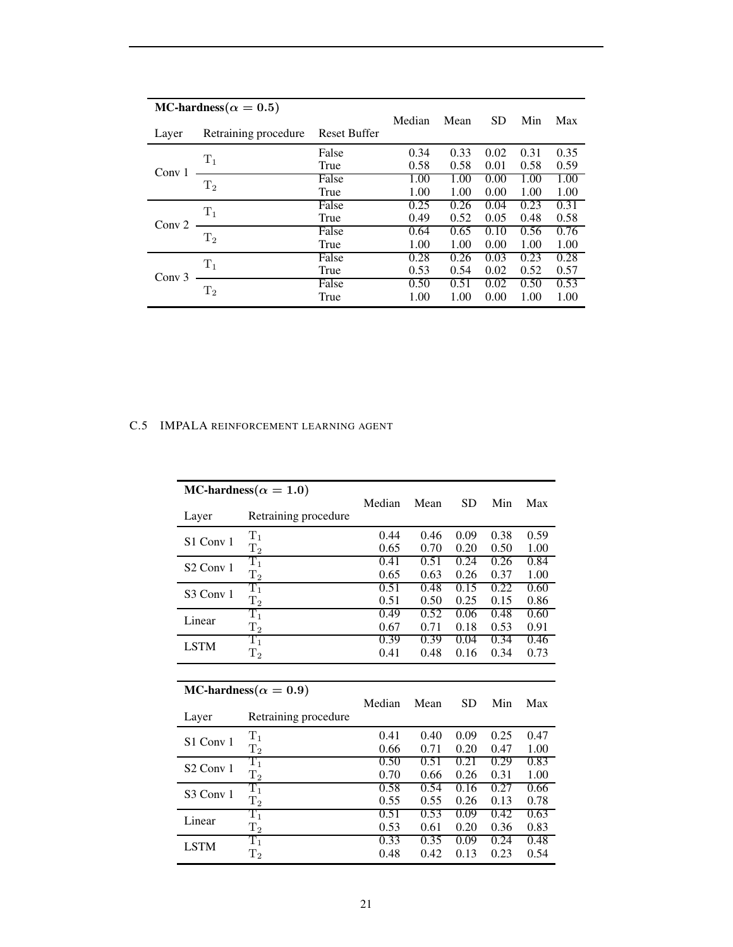| MC-hardness( $\alpha = 0.5$ ) |                      | Median              | Mean | <b>SD</b> |      | Max  |      |
|-------------------------------|----------------------|---------------------|------|-----------|------|------|------|
| Layer                         | Retraining procedure | <b>Reset Buffer</b> |      |           |      | Min  |      |
|                               | $T_1$                | False               | 0.34 | 0.33      | 0.02 | 0.31 | 0.35 |
| Conv $1$                      |                      | True                | 0.58 | 0.58      | 0.01 | 0.58 | 0.59 |
|                               | $T_2$                | False               | 1.00 | 1.00      | 0.00 | 1.00 | 1.00 |
|                               |                      | True                | 1.00 | 1.00      | 0.00 | 1.00 | 1.00 |
|                               | $T_1$                | False               | 0.25 | 0.26      | 0.04 | 0.23 | 0.31 |
| Conv <sub>2</sub>             |                      | True                | 0.49 | 0.52      | 0.05 | 0.48 | 0.58 |
|                               | T <sub>2</sub>       | False               | 0.64 | 0.65      | 0.10 | 0.56 | 0.76 |
|                               |                      | True                | 1.00 | 1.00      | 0.00 | 1.00 | 1.00 |
|                               |                      | False               | 0.28 | 0.26      | 0.03 | 0.23 | 0.28 |
| Conv <sub>3</sub>             | $T_1$                | True                | 0.53 | 0.54      | 0.02 | 0.52 | 0.57 |
|                               | T <sub>2</sub>       | False               | 0.50 | 0.51      | 0.02 | 0.50 | 0.53 |
|                               |                      | True                | 1.00 | 1.00      | 0.00 | 1.00 | 1.00 |

# C.5 IMPALA REINFORCEMENT LEARNING AGENT

|                                  | MC-hardness( $\alpha = 1.0$ ) |        |      |           |      |      |
|----------------------------------|-------------------------------|--------|------|-----------|------|------|
|                                  |                               | Median | Mean | <b>SD</b> | Min  | Max  |
| Layer                            | Retraining procedure          |        |      |           |      |      |
| S <sub>1</sub> Conv <sub>1</sub> | $\rm T_1$                     | 0.44   | 0.46 | 0.09      | 0.38 | 0.59 |
|                                  | $T_{2}$                       | 0.65   | 0.70 | 0.20      | 0.50 | 1.00 |
| S <sub>2</sub> Conv 1            | $\rm T_1$                     | 0.41   | 0.51 | 0.24      | 0.26 | 0.84 |
|                                  | $T_{2}$                       | 0.65   | 0.63 | 0.26      | 0.37 | 1.00 |
| S <sub>3</sub> Conv 1            | $\rm T_1$                     | 0.51   | 0.48 | 0.15      | 0.22 | 0.60 |
|                                  | $\rm T_2$                     | 0.51   | 0.50 | 0.25      | 0.15 | 0.86 |
| Linear                           | $\rm T_1$                     | 0.49   | 0.52 | 0.06      | 0.48 | 0.60 |
|                                  | $\rm T_2$                     | 0.67   | 0.71 | 0.18      | 0.53 | 0.91 |
| <b>LSTM</b>                      | $\rm T_1$                     | 0.39   | 0.39 | 0.04      | 0.34 | 0.46 |
|                                  | $\mathrm{T}_2$                | 0.41   | 0.48 | 0.16      | 0.34 | 0.73 |
|                                  |                               |        |      |           |      |      |
|                                  |                               |        |      |           |      |      |
|                                  | MC-hardness( $\alpha = 0.9$ ) |        |      |           |      |      |
|                                  |                               | Median | Mean | <b>SD</b> | Min  | Max  |
| Layer                            | Retraining procedure          |        |      |           |      |      |
|                                  | $T_1$                         | 0.41   | 0.40 | 0.09      | 0.25 | 0.47 |
| S1 Conv 1                        | $\rm T_2$                     | 0.66   | 0.71 | 0.20      | 0.47 | 1.00 |
|                                  | $\rm T_1$                     | 0.50   | 0.51 | 0.21      | 0.29 | 0.83 |
| S <sub>2</sub> Conv 1            | $\rm T_2$                     | 0.70   | 0.66 | 0.26      | 0.31 | 1.00 |
|                                  | $\rm T_1$                     | 0.58   | 0.54 | 0.16      | 0.27 | 0.66 |
| S <sub>3</sub> Conv 1            | $\rm T_2$                     | 0.55   | 0.55 | 0.26      | 0.13 | 0.78 |
|                                  | $\rm T_1$                     | 0.51   | 0.53 | 0.09      | 0.42 | 0.63 |
| Linear                           | $\mathrm{T}_2$                | 0.53   | 0.61 | 0.20      | 0.36 | 0.83 |
| <b>LSTM</b>                      | $\rm T_1$                     | 0.33   | 0.35 | 0.09      | 0.24 | 0.48 |